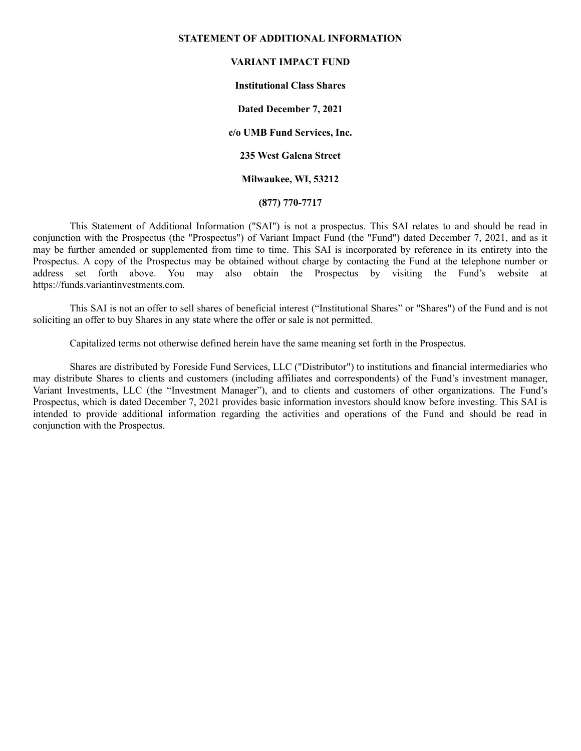## **STATEMENT OF ADDITIONAL INFORMATION**

# **VARIANT IMPACT FUND**

#### **Institutional Class Shares**

#### **Dated December 7, 2021**

**c/o UMB Fund Services, Inc.**

**235 West Galena Street**

**Milwaukee, WI, 53212**

# **(877) 770-7717**

This Statement of Additional Information ("SAI") is not a prospectus. This SAI relates to and should be read in conjunction with the Prospectus (the "Prospectus") of Variant Impact Fund (the "Fund") dated December 7, 2021, and as it may be further amended or supplemented from time to time. This SAI is incorporated by reference in its entirety into the Prospectus. A copy of the Prospectus may be obtained without charge by contacting the Fund at the telephone number or address set forth above. You may also obtain the Prospectus by visiting the Fund's website at https://funds.variantinvestments.com.

This SAI is not an offer to sell shares of beneficial interest ("Institutional Shares" or "Shares") of the Fund and is not soliciting an offer to buy Shares in any state where the offer or sale is not permitted.

Capitalized terms not otherwise defined herein have the same meaning set forth in the Prospectus.

Shares are distributed by Foreside Fund Services, LLC ("Distributor") to institutions and financial intermediaries who may distribute Shares to clients and customers (including affiliates and correspondents) of the Fund's investment manager, Variant Investments, LLC (the "Investment Manager"), and to clients and customers of other organizations. The Fund's Prospectus, which is dated December 7, 2021 provides basic information investors should know before investing. This SAI is intended to provide additional information regarding the activities and operations of the Fund and should be read in conjunction with the Prospectus.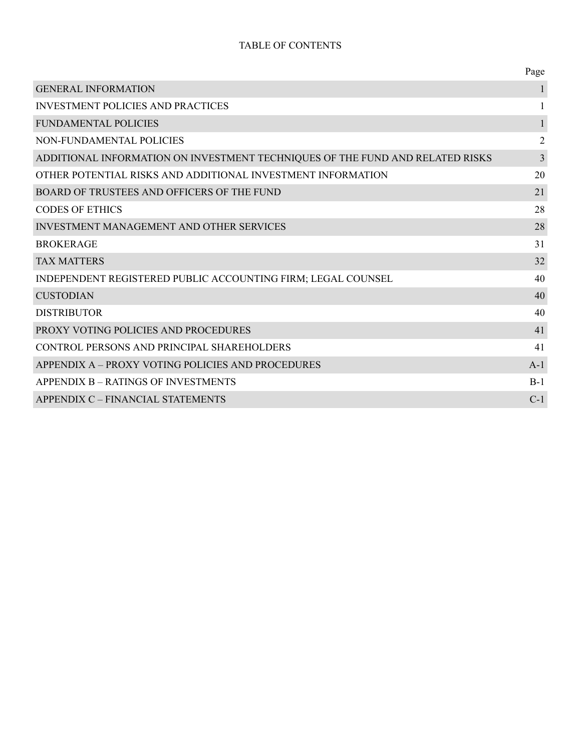# TABLE OF CONTENTS

|                                                                               | Page           |
|-------------------------------------------------------------------------------|----------------|
| <b>GENERAL INFORMATION</b>                                                    |                |
| <b>INVESTMENT POLICIES AND PRACTICES</b>                                      |                |
| <b>FUNDAMENTAL POLICIES</b>                                                   |                |
| NON-FUNDAMENTAL POLICIES                                                      | $\overline{2}$ |
| ADDITIONAL INFORMATION ON INVESTMENT TECHNIQUES OF THE FUND AND RELATED RISKS | 3              |
| OTHER POTENTIAL RISKS AND ADDITIONAL INVESTMENT INFORMATION                   | 20             |
| BOARD OF TRUSTEES AND OFFICERS OF THE FUND                                    | 21             |
| <b>CODES OF ETHICS</b>                                                        | 28             |
| <b>INVESTMENT MANAGEMENT AND OTHER SERVICES</b>                               | 28             |
| <b>BROKERAGE</b>                                                              | 31             |
| <b>TAX MATTERS</b>                                                            | 32             |
| INDEPENDENT REGISTERED PUBLIC ACCOUNTING FIRM; LEGAL COUNSEL                  | 40             |
| <b>CUSTODIAN</b>                                                              | 40             |
| <b>DISTRIBUTOR</b>                                                            | 40             |
| PROXY VOTING POLICIES AND PROCEDURES                                          | 41             |
| CONTROL PERSONS AND PRINCIPAL SHAREHOLDERS                                    | 41             |
| APPENDIX A – PROXY VOTING POLICIES AND PROCEDURES                             | $A-1$          |
| APPENDIX B – RATINGS OF INVESTMENTS                                           | $B-1$          |
| APPENDIX C – FINANCIAL STATEMENTS                                             | $C-1$          |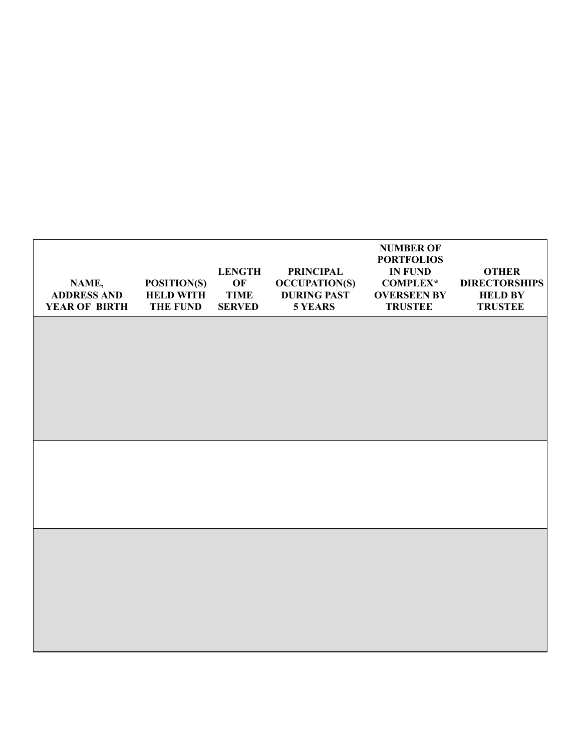The identity of Trustees of the Board and officers of the Fund, and their brief biographical information, including their addresses, their year of birth and descriptions of their principal occupations during the past five years is set forth below.

The Trustees serve on the Board for terms of indefinite duration. A Trustee's position in that capacity will terminate if the Trustee is removed or resigns or, among other events, upon the Trustee's death, incapacity, retirement or bankruptcy. A Trustee may resign upon written notice to the other Trustees of the Fund, and may be removed either by (i) the vote of at least two-thirds of the Trustees of the Fund not subject to the removal vote or (ii) the vote of Shareholders of the Fund holding not less than two-thirds of the total number of votes eligible to be cast by all Shareholders of the Fund. In the event of any vacancy in the position of a Trustee, the remaining Trustees of the Fund may appoint an individual to serve as a Trustee so long as immediately after the appointment at least two-thirds of the Trustees of the Fund then serving have been elected by the Shareholders of the Fund. The Board may call a meeting of the Fund's Shareholders to fill any vacancy in the position of a Trustee of the Fund, and must do so if the Trustees who were elected by the Shareholders of the Fund cease to constitute a majority of the Trustees then serving on the Board.

#### INDEPENDENT TRUSTEES

| NAME,<br><b>ADDRESS AND</b><br><b>YEAR OF BIRTH</b>                                                                         | POSITION(S)<br><b>HELD WITH</b><br><b>THE FUND</b> | <b>LENGTH</b><br>OF<br><b>TIME</b><br><b>SERVED</b> | <b>PRINCIPAL</b><br><b>OCCUPATION(S)</b><br><b>DURING PAST</b><br>5 YEARS                                                                                                                                | <b>NUMBER OF</b><br><b>PORTFOLIOS</b><br><b>IN FUND</b><br><b>COMPLEX*</b><br><b>OVERSEEN BY</b><br><b>TRUSTEE</b> | <b>OTHER</b><br><b>DIRECTORSHIPS</b><br><b>HELD BY</b><br><b>TRUSTEE</b>                               |
|-----------------------------------------------------------------------------------------------------------------------------|----------------------------------------------------|-----------------------------------------------------|----------------------------------------------------------------------------------------------------------------------------------------------------------------------------------------------------------|--------------------------------------------------------------------------------------------------------------------|--------------------------------------------------------------------------------------------------------|
| David G. Lee<br>Year of Birth: 1952<br>$c/o$ UMB Fund<br>Services, Inc.<br>235 W. Galena St.<br>Milwaukee, WI 53212         | Chairman and<br>Trustee                            | Since<br>Inception                                  | Retired (since 2012);<br>President and<br>Director, Client<br>Opinions, Inc. (2003<br>$-2012$ ; Chief<br>Operating Officer,<br><b>Brandywine Global</b><br>Investment<br>Management (1998 -<br>$2002$ ). | 12                                                                                                                 | None                                                                                                   |
| Robert Seyferth<br>Year of Birth: 1952<br>$c/o$ UMB Fund<br>Services, Inc.<br>235 W. Galena St.<br>Milwaukee, WI 53212      | Trustee                                            | Since<br>Inception                                  | Retired (since 2009);<br><b>Chief Procurement</b><br>Officer/Senior<br>Managing Director,<br><b>Bear Stearns/JP</b><br>Morgan Chase (1993<br>$-2009$ ).                                                  | 12                                                                                                                 | None                                                                                                   |
| Gary E. Shugrue<br>Year of Birth: 1954<br>$c/\sigma$ UMB Fund<br>Services, Inc.<br>235 W. Galena St.<br>Milwaukee, WI 53212 | Trustee                                            | Since<br>Inception                                  | Managing Director,<br>Veritable LP<br>(investment advisory<br>$firm$ ) (2016- Present);<br>Founder/President,<br><b>Ascendant Capital</b><br>Partners, LP (private<br>equity firm) $(2001 -$<br>2015).   | 10                                                                                                                 | Trustee, Quaker<br><b>Investment Trust (5</b><br>portfolios)<br>(registered<br>investment<br>company). |

\* The fund complex consists of the Fund, Infinity Core Alternative Fund, Infinity Long/Short Equity Fund, LLC, First Trust Alternative Opportunities Fund, Variant Alternative Income Fund, Corbin Multi-Strategy Fund, LLC, Agility Multi-Asset Income Fund, Keystone Private Income Fund, Aspiriant Risk-Managed Real Asset Fund, Aspiriant Risk-Managed Capital Appreciation Fund, AFA Multi-Manager Credit Fund and Optima Dynamic Alternatives Fund.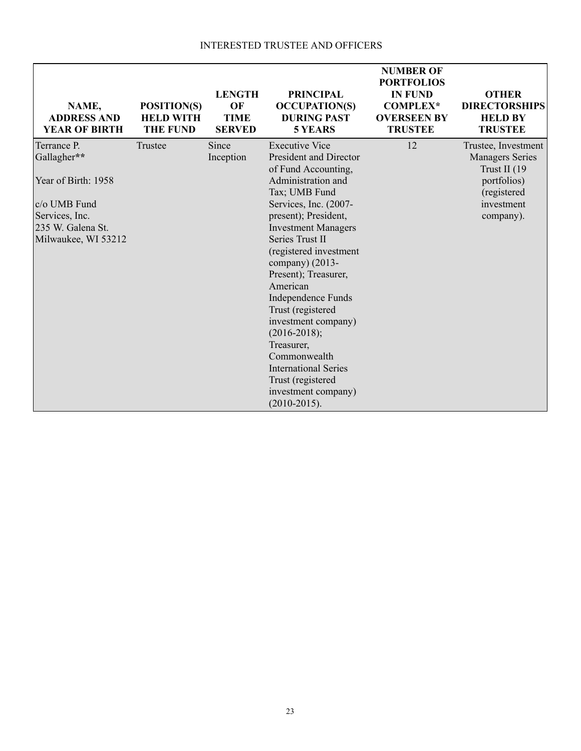| NAME,<br><b>ADDRESS AND</b><br><b>YEAR OF BIRTH</b>                                                                                    | POSITION(S)<br><b>HELD WITH</b><br><b>THE FUND</b> | <b>LENGTH</b><br>OF<br><b>TIME</b><br><b>SERVED</b> | <b>PRINCIPAL</b><br><b>OCCUPATION(S)</b><br><b>DURING PAST</b><br><b>5 YEARS</b>                                                                                                                                                                                                                                                                                                                                                                                                                                  | <b>NUMBER OF</b><br><b>PORTFOLIOS</b><br><b>IN FUND</b><br><b>COMPLEX*</b><br><b>OVERSEEN BY</b><br><b>TRUSTEE</b> | <b>OTHER</b><br><b>DIRECTORSHIPS</b><br><b>HELD BY</b><br><b>TRUSTEE</b>                                               |
|----------------------------------------------------------------------------------------------------------------------------------------|----------------------------------------------------|-----------------------------------------------------|-------------------------------------------------------------------------------------------------------------------------------------------------------------------------------------------------------------------------------------------------------------------------------------------------------------------------------------------------------------------------------------------------------------------------------------------------------------------------------------------------------------------|--------------------------------------------------------------------------------------------------------------------|------------------------------------------------------------------------------------------------------------------------|
| Terrance P.<br>Gallagher**<br>Year of Birth: 1958<br>$c/\sigma$ UMB Fund<br>Services, Inc.<br>235 W. Galena St.<br>Milwaukee, WI 53212 | Trustee                                            | Since<br>Inception                                  | <b>Executive Vice</b><br>President and Director<br>of Fund Accounting,<br>Administration and<br>Tax; UMB Fund<br>Services, Inc. (2007-<br>present); President,<br><b>Investment Managers</b><br>Series Trust II<br>(registered investment<br>company) (2013-<br>Present); Treasurer,<br>American<br>Independence Funds<br>Trust (registered<br>investment company)<br>$(2016 - 2018);$<br>Treasurer,<br>Commonwealth<br><b>International Series</b><br>Trust (registered<br>investment company)<br>$(2010-2015).$ | 12                                                                                                                 | Trustee, Investment<br><b>Managers Series</b><br>Trust II (19<br>portfolios)<br>(registered<br>investment<br>company). |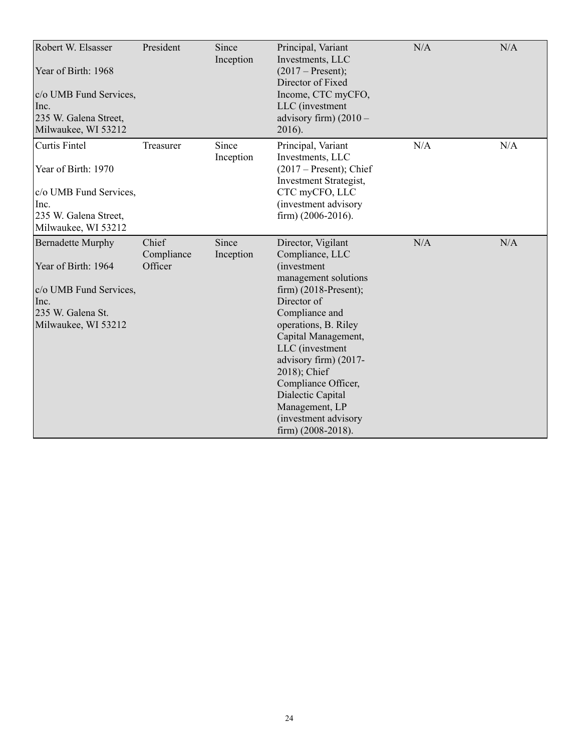| Robert W. Elsasser<br>Year of Birth: 1968<br>c/o UMB Fund Services,<br>Inc.<br>235 W. Galena Street,<br>Milwaukee, WI 53212   | President                      | Since<br>Inception | Principal, Variant<br>Investments, LLC<br>$(2017 - Present);$<br>Director of Fixed<br>Income, CTC myCFO,<br>LLC (investment<br>advisory firm) $(2010 -$<br>2016).                                                                                                                                                                                                  | N/A | N/A |
|-------------------------------------------------------------------------------------------------------------------------------|--------------------------------|--------------------|--------------------------------------------------------------------------------------------------------------------------------------------------------------------------------------------------------------------------------------------------------------------------------------------------------------------------------------------------------------------|-----|-----|
| Curtis Fintel<br>Year of Birth: 1970<br>c/o UMB Fund Services,<br>Inc.<br>235 W. Galena Street,<br>Milwaukee, WI 53212        | Treasurer                      | Since<br>Inception | Principal, Variant<br>Investments, LLC<br>$(2017 - Present)$ ; Chief<br>Investment Strategist,<br>CTC myCFO, LLC<br>(investment advisory<br>firm) $(2006-2016)$ .                                                                                                                                                                                                  | N/A | N/A |
| <b>Bernadette Murphy</b><br>Year of Birth: 1964<br>c/o UMB Fund Services,<br>Inc.<br>235 W. Galena St.<br>Milwaukee, WI 53212 | Chief<br>Compliance<br>Officer | Since<br>Inception | Director, Vigilant<br>Compliance, LLC<br>(investment<br>management solutions<br>$firm)$ (2018-Present);<br>Director of<br>Compliance and<br>operations, B. Riley<br>Capital Management,<br>LLC (investment<br>advisory firm) (2017-<br>2018); Chief<br>Compliance Officer,<br>Dialectic Capital<br>Management, LP<br>(investment advisory<br>firm) $(2008-2018)$ . | N/A | N/A |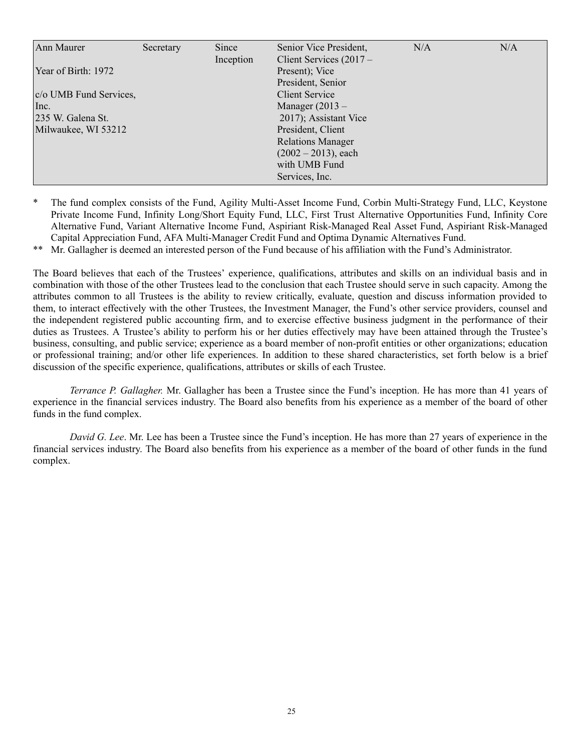| Ann Maurer                | Secretary | Since     | Senior Vice President,<br>Client Services $(2017 -$ | N/A | N/A |
|---------------------------|-----------|-----------|-----------------------------------------------------|-----|-----|
| Year of Birth: 1972       |           | Inception | Present); Vice                                      |     |     |
| c/o UMB Fund Services,    |           |           | President, Senior<br>Client Service                 |     |     |
| Inc.<br>235 W. Galena St. |           |           | Manager $(2013 -$<br>2017); Assistant Vice          |     |     |
| Milwaukee, WI 53212       |           |           | President, Client                                   |     |     |
|                           |           |           | <b>Relations Manager</b>                            |     |     |
|                           |           |           | $(2002 – 2013)$ , each<br>with UMB Fund             |     |     |
|                           |           |           | Services, Inc.                                      |     |     |

\* The fund complex consists of the Fund, Agility Multi-Asset Income Fund, Corbin Multi-Strategy Fund, LLC, Keystone Private Income Fund, Infinity Long/Short Equity Fund, LLC, First Trust Alternative Opportunities Fund, Infinity Core Alternative Fund, Variant Alternative Income Fund, Aspiriant Risk-Managed Real Asset Fund, Aspiriant Risk-Managed

Capital Appreciation Fund, AFA Multi-Manager Credit Fund and Optima Dynamic Alternatives Fund.  $***$ 

The Board believes that each of the Trustees' experience, qualifications, attributes and skills on an individual basis and in combination with those of the other Trustees lead to the conclusion that each Trustee should serve in such capacity. Among the attributes common to all Trustees is the ability to review critically, evaluate, question and discuss information provided to them, to interact effectively with the other Trustees, the Investment Manager, the Fund's other service providers, counsel and the independent registered public accounting firm, and to exercise effective business judgment in the performance of their duties as Trustees. A Trustee's ability to perform his or her duties effectively may have been attained through the Trustee's business, consulting, and public service; experience as a board member of non-profit entities or other organizations; education or professional training; and/or other life experiences. In addition to these shared characteristics, set forth below is a brief discussion of the specific experience, qualifications, attributes or skills of each Trustee.

Terrance P. Gallagher. Mr. Gallagher has been a Trustee since the Fund's inception. He has more than 41 years of experience in the financial services industry. The Board also benefits from his experience as a member of the board of other funds in the fund complex.

David G. Lee. Mr. Lee has been a Trustee since the Fund's inception. He has more than 27 years of experience in the financial services industry. The Board also benefits from his experience as a member of the board of other funds in the fund complex.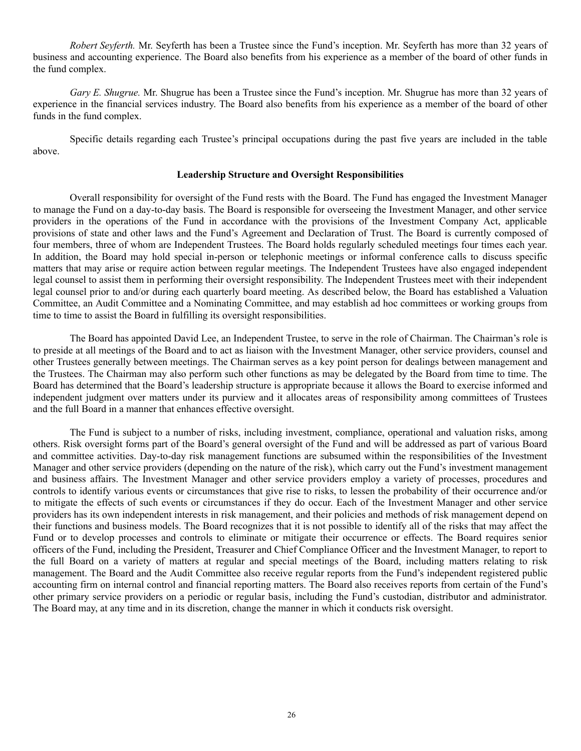*Robert Seyferth.* Mr. Seyferth has been a Trustee since the Fund's inception. Mr. Seyferth has more than 32 years of business and accounting experience. The Board also benefits from his experience as a member of the board of other funds in the fund complex.

*Gary E. Shugrue.* Mr. Shugrue has been a Trustee since the Fund's inception. Mr. Shugrue has more than 32 years of experience in the financial services industry. The Board also benefits from his experience as a member of the board of other funds in the fund complex.

Specific details regarding each Trustee's principal occupations during the past five years are included in the table above.

## **Leadership Structure and Oversight Responsibilities**

Overall responsibility for oversight of the Fund rests with the Board. The Fund has engaged the Investment Manager to manage the Fund on a day-to-day basis. The Board is responsible for overseeing the Investment Manager, and other service providers in the operations of the Fund in accordance with the provisions of the Investment Company Act, applicable provisions of state and other laws and the Fund's Agreement and Declaration of Trust. The Board is currently composed of four members, three of whom are Independent Trustees. The Board holds regularly scheduled meetings four times each year. In addition, the Board may hold special in-person or telephonic meetings or informal conference calls to discuss specific matters that may arise or require action between regular meetings. The Independent Trustees have also engaged independent legal counsel to assist them in performing their oversight responsibility. The Independent Trustees meet with their independent legal counsel prior to and/or during each quarterly board meeting. As described below, the Board has established a Valuation Committee, an Audit Committee and a Nominating Committee, and may establish ad hoc committees or working groups from time to time to assist the Board in fulfilling its oversight responsibilities.

The Board has appointed David Lee, an Independent Trustee, to serve in the role of Chairman. The Chairman's role is to preside at all meetings of the Board and to act as liaison with the Investment Manager, other service providers, counsel and other Trustees generally between meetings. The Chairman serves as a key point person for dealings between management and the Trustees. The Chairman may also perform such other functions as may be delegated by the Board from time to time. The Board has determined that the Board's leadership structure is appropriate because it allows the Board to exercise informed and independent judgment over matters under its purview and it allocates areas of responsibility among committees of Trustees and the full Board in a manner that enhances effective oversight.

The Fund is subject to a number of risks, including investment, compliance, operational and valuation risks, among others. Risk oversight forms part of the Board's general oversight of the Fund and will be addressed as part of various Board and committee activities. Day-to-day risk management functions are subsumed within the responsibilities of the Investment Manager and other service providers (depending on the nature of the risk), which carry out the Fund's investment management and business affairs. The Investment Manager and other service providers employ a variety of processes, procedures and controls to identify various events or circumstances that give rise to risks, to lessen the probability of their occurrence and/or to mitigate the effects of such events or circumstances if they do occur. Each of the Investment Manager and other service providers has its own independent interests in risk management, and their policies and methods of risk management depend on their functions and business models. The Board recognizes that it is not possible to identify all of the risks that may affect the Fund or to develop processes and controls to eliminate or mitigate their occurrence or effects. The Board requires senior officers of the Fund, including the President, Treasurer and Chief Compliance Officer and the Investment Manager, to report to the full Board on a variety of matters at regular and special meetings of the Board, including matters relating to risk management. The Board and the Audit Committee also receive regular reports from the Fund's independent registered public accounting firm on internal control and financial reporting matters. The Board also receives reports from certain of the Fund's other primary service providers on a periodic or regular basis, including the Fund's custodian, distributor and administrator. The Board may, at any time and in its discretion, change the manner in which it conducts risk oversight.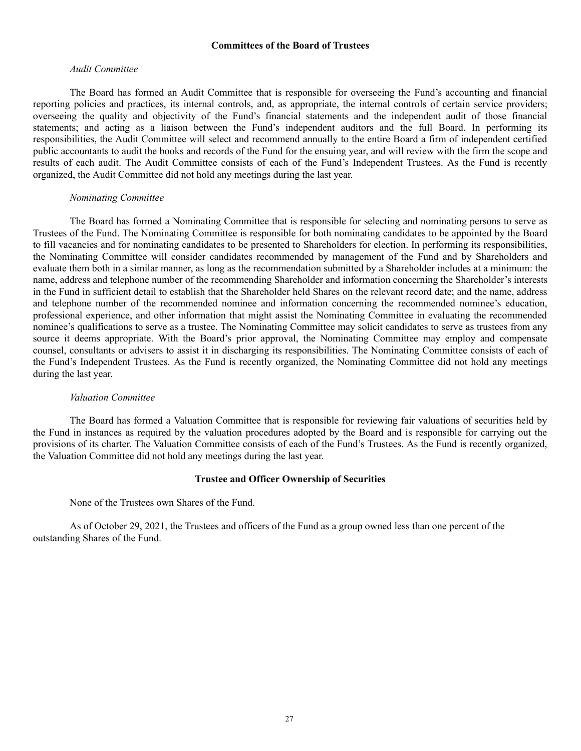#### **Committees of the Board of Trustees**

## *Audit Committee*

The Board has formed an Audit Committee that is responsible for overseeing the Fund's accounting and financial reporting policies and practices, its internal controls, and, as appropriate, the internal controls of certain service providers; overseeing the quality and objectivity of the Fund's financial statements and the independent audit of those financial statements; and acting as a liaison between the Fund's independent auditors and the full Board. In performing its responsibilities, the Audit Committee will select and recommend annually to the entire Board a firm of independent certified public accountants to audit the books and records of the Fund for the ensuing year, and will review with the firm the scope and results of each audit. The Audit Committee consists of each of the Fund's Independent Trustees. As the Fund is recently organized, the Audit Committee did not hold any meetings during the last year.

#### *Nominating Committee*

The Board has formed a Nominating Committee that is responsible for selecting and nominating persons to serve as Trustees of the Fund. The Nominating Committee is responsible for both nominating candidates to be appointed by the Board to fill vacancies and for nominating candidates to be presented to Shareholders for election. In performing its responsibilities, the Nominating Committee will consider candidates recommended by management of the Fund and by Shareholders and evaluate them both in a similar manner, as long as the recommendation submitted by a Shareholder includes at a minimum: the name, address and telephone number of the recommending Shareholder and information concerning the Shareholder's interests in the Fund in sufficient detail to establish that the Shareholder held Shares on the relevant record date; and the name, address and telephone number of the recommended nominee and information concerning the recommended nominee's education, professional experience, and other information that might assist the Nominating Committee in evaluating the recommended nominee's qualifications to serve as a trustee. The Nominating Committee may solicit candidates to serve as trustees from any source it deems appropriate. With the Board's prior approval, the Nominating Committee may employ and compensate counsel, consultants or advisers to assist it in discharging its responsibilities. The Nominating Committee consists of each of the Fund's Independent Trustees. As the Fund is recently organized, the Nominating Committee did not hold any meetings during the last year.

## *Valuation Committee*

The Board has formed a Valuation Committee that is responsible for reviewing fair valuations of securities held by the Fund in instances as required by the valuation procedures adopted by the Board and is responsible for carrying out the provisions of its charter. The Valuation Committee consists of each of the Fund's Trustees. As the Fund is recently organized, the Valuation Committee did not hold any meetings during the last year.

#### **Trustee and Officer Ownership of Securities**

None of the Trustees own Shares of the Fund.

As of October 29, 2021, the Trustees and officers of the Fund as a group owned less than one percent of the outstanding Shares of the Fund.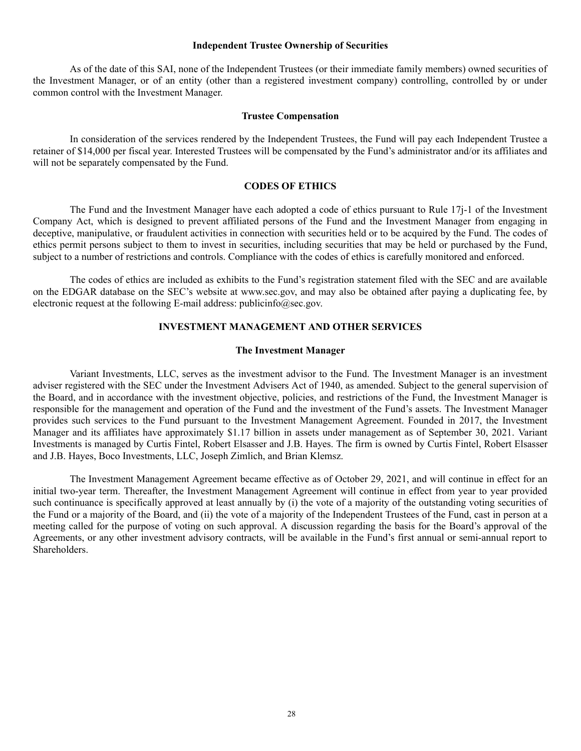#### **Independent Trustee Ownership of Securities**

As of the date of this SAI, none of the Independent Trustees (or their immediate family members) owned securities of the Investment Manager, or of an entity (other than a registered investment company) controlling, controlled by or under common control with the Investment Manager.

## **Trustee Compensation**

In consideration of the services rendered by the Independent Trustees, the Fund will pay each Independent Trustee a retainer of \$14,000 per fiscal year. Interested Trustees will be compensated by the Fund's administrator and/or its affiliates and will not be separately compensated by the Fund.

# **CODES OF ETHICS**

The Fund and the Investment Manager have each adopted a code of ethics pursuant to Rule 17-1 of the Investment Company Act, which is designed to prevent affiliated persons of the Fund and the Investment Manager from engaging in deceptive, manipulative, or fraudulent activities in connection with securities held or to be acquired by the Fund. The codes of ethics permit persons subject to them to invest in securities, including securities that may be held or purchased by the Fund. subject to a number of restrictions and controls. Compliance with the codes of ethics is carefully monitored and enforced.

The codes of ethics are included as exhibits to the Fund's registration statement filed with the SEC and are available on the EDGAR database on the SEC's website at www.sec.gov, and may also be obtained after paying a duplicating fee, by electronic request at the following E-mail address:  $publicinfo@sec.gov$ .

#### **INVESTMENT MANAGEMENT AND OTHER SERVICES**

#### **The Investment Manager**

Variant Investments, LLC, serves as the investment advisor to the Fund. The Investment Manager is an investment adviser registered with the SEC under the Investment Advisers Act of 1940, as amended. Subject to the general supervision of the Board, and in accordance with the investment objective, policies, and restrictions of the Fund, the Investment Manager is responsible for the management and operation of the Fund and the investment of the Fund's assets. The Investment Manager provides such services to the Fund pursuant to the Investment Management Agreement. Founded in 2017, the Investment Manager and its affiliates have approximately \$1.17 billion in assets under management as of September 30, 2021. Variant Investments is managed by Curtis Fintel, Robert Elsasser and J.B. Hayes. The firm is owned by Curtis Fintel, Robert Elsasser and J.B. Hayes, Boco Investments, LLC, Joseph Zimlich, and Brian Klemsz.

The Investment Management Agreement became effective as of October 29, 2021, and will continue in effect for an initial two-year term. Thereafter, the Investment Management Agreement will continue in effect from year to year provided such continuance is specifically approved at least annually by (i) the vote of a majority of the outstanding voting securities of the Fund or a majority of the Board, and (ii) the vote of a majority of the Independent Trustees of the Fund, cast in person at a meeting called for the purpose of voting on such approval. A discussion regarding the basis for the Board's approval of the Agreements, or any other investment advisory contracts, will be available in the Fund's first annual or semi-annual report to Shareholders.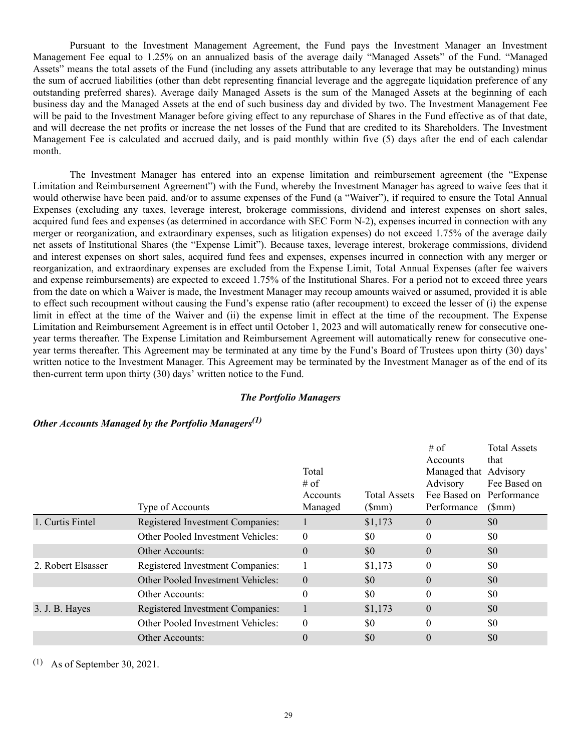Pursuant to the Investment Management Agreement, the Fund pays the Investment Manager an Investment Management Fee equal to 1.25% on an annualized basis of the average daily "Managed Assets" of the Fund. "Managed Assets" means the total assets of the Fund (including any assets attributable to any leverage that may be outstanding) minus the sum of accrued liabilities (other than debt representing financial leverage and the aggregate liquidation preference of any outstanding preferred shares). Average daily Managed Assets is the sum of the Managed Assets at the beginning of each business day and the Managed Assets at the end of such business day and divided by two. The Investment Management Fee will be paid to the Investment Manager before giving effect to any repurchase of Shares in the Fund effective as of that date, and will decrease the net profits or increase the net losses of the Fund that are credited to its Shareholders. The Investment Management Fee is calculated and accrued daily, and is paid monthly within five (5) days after the end of each calendar month.

The Investment Manager has entered into an expense limitation and reimbursement agreement (the "Expense Limitation and Reimbursement Agreement") with the Fund, whereby the Investment Manager has agreed to waive fees that it would otherwise have been paid, and/or to assume expenses of the Fund (a "Waiver"), if required to ensure the Total Annual Expenses (excluding any taxes, leverage interest, brokerage commissions, dividend and interest expenses on short sales, acquired fund fees and expenses (as determined in accordance with SEC Form N-2), expenses incurred in connection with any merger or reorganization, and extraordinary expenses, such as litigation expenses) do not exceed 1.75% of the average daily net assets of Institutional Shares (the "Expense Limit"). Because taxes, leverage interest, brokerage commissions, dividend and interest expenses on short sales, acquired fund fees and expenses, expenses incurred in connection with any merger or reorganization, and extraordinary expenses are excluded from the Expense Limit, Total Annual Expenses (after fee waivers and expense reimbursements) are expected to exceed 1.75% of the Institutional Shares. For a period not to exceed three years from the date on which a Waiver is made, the Investment Manager may recoup amounts waived or assumed, provided it is able to effect such recoupment without causing the Fund's expense ratio (after recoupment) to exceed the lesser of (i) the expense limit in effect at the time of the Waiver and (ii) the expense limit in effect at the time of the recoupment. The Expense Limitation and Reimbursement Agreement is in effect until October 1, 2023 and will automatically renew for consecutive oneyear terms thereafter. The Expense Limitation and Reimbursement Agreement will automatically renew for consecutive oneyear terms thereafter. This Agreement may be terminated at any time by the Fund's Board of Trustees upon thirty (30) days' written notice to the Investment Manager. This Agreement may be terminated by the Investment Manager as of the end of its then-current term upon thirty (30) days' written notice to the Fund.

# *The Portfolio Managers*

|                    | Type of Accounts                         | Total<br>$#$ of<br>Accounts<br>Managed | Total Assets<br>(Smm) | # of<br>Accounts<br>Managed that Advisory<br>Advisory<br>Fee Based on Performance<br>Performance | Total Assets<br>that<br>Fee Based on<br>(Smm) |
|--------------------|------------------------------------------|----------------------------------------|-----------------------|--------------------------------------------------------------------------------------------------|-----------------------------------------------|
| 1. Curtis Fintel   | Registered Investment Companies:         |                                        | \$1,173               | $\Omega$                                                                                         | \$0                                           |
|                    | <b>Other Pooled Investment Vehicles:</b> | $\theta$                               | \$0                   | $\theta$                                                                                         | \$0                                           |
|                    | Other Accounts:                          | $\theta$                               | \$0                   | $\Omega$                                                                                         | \$0                                           |
| 2. Robert Elsasser | Registered Investment Companies:         |                                        | \$1,173               | $\theta$                                                                                         | \$0                                           |
|                    | <b>Other Pooled Investment Vehicles:</b> | $\theta$                               | \$0                   | $\theta$                                                                                         | \$0                                           |
|                    | Other Accounts:                          | 0                                      | \$0                   | $\Omega$                                                                                         | \$0                                           |
| 3. J. B. Hayes     | Registered Investment Companies:         |                                        | \$1,173               | $\Omega$                                                                                         | \$0                                           |
|                    | Other Pooled Investment Vehicles:        | $\theta$                               | \$0                   | $\theta$                                                                                         | \$0                                           |
|                    | Other Accounts:                          | 0                                      | \$0                   | $\theta$                                                                                         | \$0                                           |

*Other Accounts Managed by the Portfolio Managers(1)*

(1) As of September 30, 2021.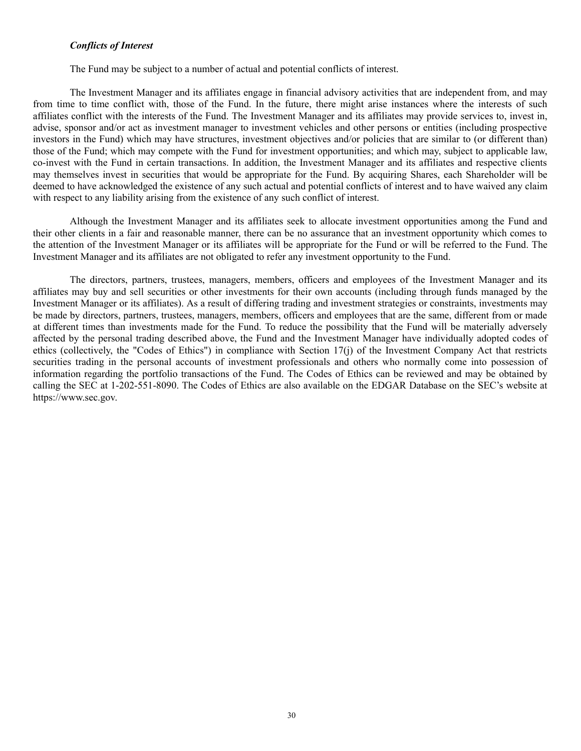#### *Conflicts of Interest*

The Fund may be subject to a number of actual and potential conflicts of interest.

The Investment Manager and its affiliates engage in financial advisory activities that are independent from, and may from time to time conflict with, those of the Fund. In the future, there might arise instances where the interests of such affiliates conflict with the interests of the Fund. The Investment Manager and its affiliates may provide services to, invest in, advise, sponsor and/or act as investment manager to investment vehicles and other persons or entities (including prospective investors in the Fund) which may have structures, investment objectives and/or policies that are similar to (or different than) those of the Fund; which may compete with the Fund for investment opportunities; and which may, subject to applicable law. co-invest with the Fund in certain transactions. In addition, the Investment Manager and its affiliates and respective clients may themselves invest in securities that would be appropriate for the Fund. By acquiring Shares, each Shareholder will be deemed to have acknowledged the existence of any such actual and potential conflicts of interest and to have waived any claim with respect to any liability arising from the existence of any such conflict of interest.

Although the Investment Manager and its affiliates seek to allocate investment opportunities among the Fund and their other clients in a fair and reasonable manner, there can be no assurance that an investment opportunity which comes to the attention of the Investment Manager or its affiliates will be appropriate for the Fund or will be referred to the Fund. The Investment Manager and its affiliates are not obligated to refer any investment opportunity to the Fund.

The directors, partners, trustees, managers, members, officers and employees of the Investment Manager and its affiliates may buy and sell securities or other investments for their own accounts (including through funds managed by the Investment Manager or its affiliates). As a result of differing trading and investment strategies or constraints, investments may be made by directors, partners, trustees, managers, members, officers and employees that are the same, different from or made at different times than investments made for the Fund. To reduce the possibility that the Fund will be materially adversely affected by the personal trading described above, the Fund and the Investment Manager have individually adopted codes of ethics (collectively, the "Codes of Ethics") in compliance with Section 17(i) of the Investment Company Act that restricts securities trading in the personal accounts of investment professionals and others who normally come into possession of information regarding the portfolio transactions of the Fund. The Codes of Ethics can be reviewed and may be obtained by calling the SEC at 1-202-551-8090. The Codes of Ethics are also available on the EDGAR Database on the SEC's website at https://www.sec.gov.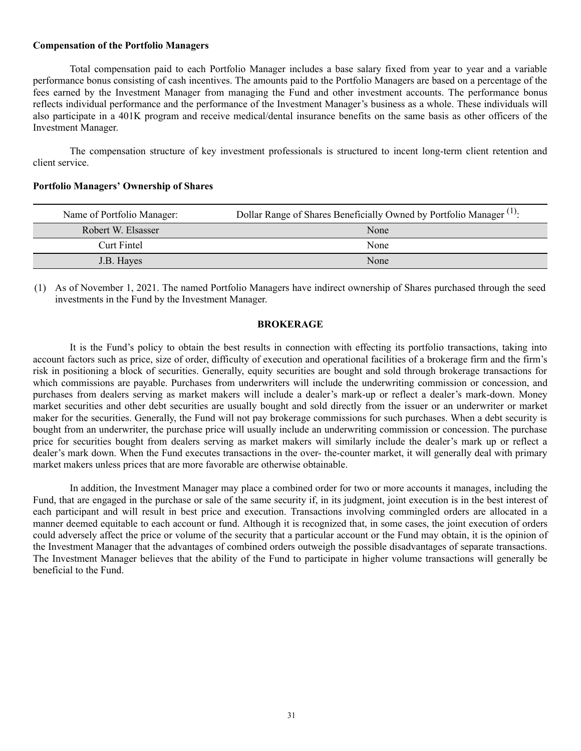#### **Compensation of the Portfolio Managers**

Total compensation paid to each Portfolio Manager includes a base salary fixed from year to year and a variable performance bonus consisting of cash incentives. The amounts paid to the Portfolio Managers are based on a percentage of the fees earned by the Investment Manager from managing the Fund and other investment accounts. The performance bonus reflects individual performance and the performance of the Investment Manager's business as a whole. These individuals will also participate in a 401K program and receive medical/dental insurance benefits on the same basis as other officers of the Investment Manager.

The compensation structure of key investment professionals is structured to incent long-term client retention and client service.

|  | <b>Portfolio Managers' Ownership of Shares</b> |
|--|------------------------------------------------|
|--|------------------------------------------------|

| Name of Portfolio Manager: | Dollar Range of Shares Beneficially Owned by Portfolio Manager <sup>(1)</sup> : |
|----------------------------|---------------------------------------------------------------------------------|
| Robert W. Elsasser         | None                                                                            |
| Curt Fintel                | None                                                                            |
| J.B. Hayes                 | None                                                                            |

(1) As of November 1, 2021. The named Portfolio Managers have indirect ownership of Shares purchased through the seed investments in the Fund by the Investment Manager.

# *RROKERAGE*

It is the Fund's policy to obtain the best results in connection with effecting its portfolio transactions, taking into account factors such as price, size of order, difficulty of execution and operational facilities of a brokerage firm and the firm's risk in positioning a block of securities. Generally, equity securities are bought and sold through brokerage transactions for which commissions are payable. Purchases from underwriters will include the underwriting commission or concession, and purchases from dealers serving as market makers will include a dealer's mark-up or reflect a dealer's mark-down. Money market securities and other debt securities are usually bought and sold directly from the issuer or an underwriter or market maker for the securities. Generally, the Fund will not pay brokerage commissions for such purchases. When a debt security is bought from an underwriter, the purchase price will usually include an underwriting commission or concession. The purchase price for securities bought from dealers serving as market makers will similarly include the dealer's mark up or reflect a dealer's mark down. When the Fund executes transactions in the over- the-counter market, it will generally deal with primary market makers unless prices that are more favorable are otherwise obtainable.

In addition, the Investment Manager may place a combined order for two or more accounts it manages, including the Fund, that are engaged in the purchase or sale of the same security if, in its judgment, joint execution is in the best interest of each participant and will result in best price and execution. Transactions involving commingled orders are allocated in a manner deemed equitable to each account or fund. Although it is recognized that, in some cases, the joint execution of orders could adversely affect the price or volume of the security that a particular account or the Fund may obtain, it is the opinion of the Investment Manager that the advantages of combined orders outweigh the possible disadvantages of separate transactions. The Investment Manager believes that the ability of the Fund to participate in higher volume transactions will generally be beneficial to the Fund.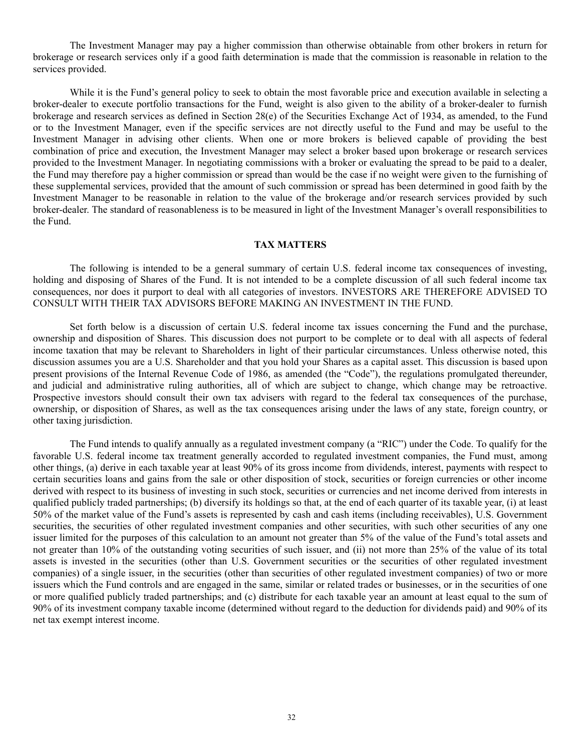The Investment Manager may pay a higher commission than otherwise obtainable from other brokers in return for brokerage or research services only if a good faith determination is made that the commission is reasonable in relation to the services provided.

While it is the Fund's general policy to seek to obtain the most favorable price and execution available in selecting a broker-dealer to execute portfolio transactions for the Fund, weight is also given to the ability of a broker-dealer to furnish brokerage and research services as defined in Section 28(e) of the Securities Exchange Act of 1934, as amended, to the Fund or to the Investment Manager, even if the specific services are not directly useful to the Fund and may be useful to the Investment Manager in advising other clients. When one or more brokers is believed capable of providing the best combination of price and execution, the Investment Manager may select a broker based upon brokerage or research services provided to the Investment Manager. In negotiating commissions with a broker or evaluating the spread to be paid to a dealer, the Fund may therefore pay a higher commission or spread than would be the case if no weight were given to the furnishing of these supplemental services, provided that the amount of such commission or spread has been determined in good faith by the Investment Manager to be reasonable in relation to the value of the brokerage and/or research services provided by such broker-dealer. The standard of reasonableness is to be measured in light of the Investment Manager's overall responsibilities to the Fund.

## **TAX MATTERS**

The following is intended to be a general summary of certain U.S. federal income tax consequences of investing, holding and disposing of Shares of the Fund. It is not intended to be a complete discussion of all such federal income tax consequences, nor does it purport to deal with all categories of investors. INVESTORS ARE THEREFORE ADVISED TO CONSULT WITH THEIR TAX ADVISORS BEFORE MAKING AN INVESTMENT IN THE FUND.

Set forth below is a discussion of certain U.S. federal income tax issues concerning the Fund and the purchase, ownership and disposition of Shares. This discussion does not purport to be complete or to deal with all aspects of federal income taxation that may be relevant to Shareholders in light of their particular circumstances. Unless otherwise noted, this discussion assumes you are a U.S. Shareholder and that you hold your Shares as a capital asset. This discussion is based upon present provisions of the Internal Revenue Code of 1986, as amended (the "Code"), the regulations promulgated thereunder, and judicial and administrative ruling authorities, all of which are subject to change, which change may be retroactive. Prospective investors should consult their own tax advisers with regard to the federal tax consequences of the purchase, ownership, or disposition of Shares, as well as the tax consequences arising under the laws of any state, foreign country, or other taxing jurisdiction.

The Fund intends to qualify annually as a regulated investment company (a "RIC") under the Code. To qualify for the favorable U.S. federal income tax treatment generally accorded to regulated investment companies, the Fund must, among other things, (a) derive in each taxable year at least 90% of its gross income from dividends, interest, payments with respect to certain securities loans and gains from the sale or other disposition of stock, securities or foreign currencies or other income derived with respect to its business of investing in such stock, securities or currencies and net income derived from interests in qualified publicly traded partnerships; (b) diversify its holdings so that, at the end of each quarter of its taxable year, (i) at least 50% of the market value of the Fund's assets is represented by cash and cash items (including receivables), U.S. Government securities, the securities of other regulated investment companies and other securities, with such other securities of any one issuer limited for the purposes of this calculation to an amount not greater than 5% of the value of the Fund's total assets and not greater than 10% of the outstanding voting securities of such issuer, and (ii) not more than 25% of the value of its total assets is invested in the securities (other than U.S. Government securities or the securities of other regulated investment companies) of a single issuer, in the securities (other than securities of other regulated investment companies) of two or more issuers which the Fund controls and are engaged in the same, similar or related trades or businesses, or in the securities of one or more qualified publicly traded partnerships; and (c) distribute for each taxable year an amount at least equal to the sum of 90% of its investment company taxable income (determined without regard to the deduction for dividends paid) and 90% of its net tax exempt interest income.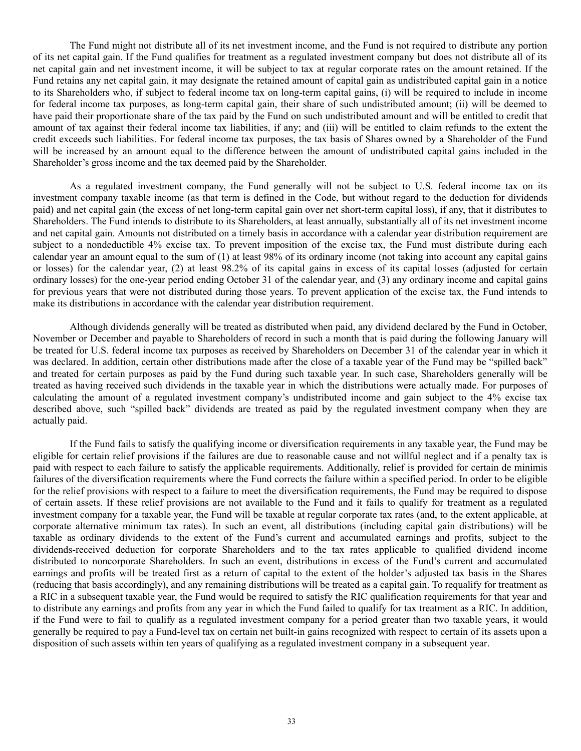The Fund might not distribute all of its net investment income, and the Fund is not required to distribute any portion of its net capital gain. If the Fund qualifies for treatment as a regulated investment company but does not distribute all of its net capital gain and net investment income, it will be subject to tax at regular corporate rates on the amount retained. If the Fund retains any net capital gain, it may designate the retained amount of capital gain as undistributed capital gain in a notice to its Shareholders who, if subject to federal income tax on long-term capital gains. (i) will be required to include in income for federal income tax purposes, as long-term capital gain, their share of such undistributed amount; (ii) will be deemed to have paid their proportionate share of the tax paid by the Fund on such undistributed amount and will be entitled to credit that amount of tax against their federal income tax liabilities, if any; and (iii) will be entitled to claim refunds to the extent the credit exceeds such liabilities. For federal income tax purposes, the tax basis of Shares owned by a Shareholder of the Fund will be increased by an amount equal to the difference between the amount of undistributed capital gains included in the Shareholder's gross income and the tax deemed paid by the Shareholder.

As a regulated investment company, the Fund generally will not be subject to U.S. federal income tax on its investment company taxable income (as that term is defined in the Code, but without regard to the deduction for dividends paid) and net capital gain (the excess of net long-term capital gain over net short-term capital loss), if any, that it distributes to Shareholders. The Fund intends to distribute to its Shareholders, at least annually, substantially all of its net investment income and net capital gain. Amounts not distributed on a timely basis in accordance with a calendar year distribution requirement are subject to a nondeductible 4% excise tax. To prevent imposition of the excise tax, the Fund must distribute during each calendar year an amount equal to the sum of  $(1)$  at least 98% of its ordinary income (not taking into account any capital gains or losses) for the calendar year, (2) at least 98.2% of its capital gains in excess of its capital losses (adjusted for certain ordinary losses) for the one-year period ending October 31 of the calendar year, and (3) any ordinary income and capital gains for previous years that were not distributed during those years. To prevent application of the excise tax, the Fund intends to make its distributions in accordance with the calendar year distribution requirement.

Although dividends generally will be treated as distributed when paid, any dividend declared by the Fund in October, November or December and payable to Shareholders of record in such a month that is paid during the following January will be treated for U.S. federal income tax purposes as received by Shareholders on December 31 of the calendar year in which it was declared. In addition, certain other distributions made after the close of a taxable year of the Fund may be "spilled back" and treated for certain purposes as paid by the Fund during such taxable year. In such case, Shareholders generally will be treated as having received such dividends in the taxable year in which the distributions were actually made. For purposes of calculating the amount of a regulated investment company's undistributed income and gain subject to the 4% excise tax described above, such "spilled back" dividends are treated as paid by the regulated investment company when they are actually paid.

If the Fund fails to satisfy the qualifying income or diversification requirements in any taxable year, the Fund may be eligible for certain relief provisions if the failures are due to reasonable cause and not willful neglect and if a penalty tax is paid with respect to each failure to satisfy the applicable requirements. Additionally, relief is provided for certain de minimis failures of the diversification requirements where the Fund corrects the failure within a specified period. In order to be eligible for the relief provisions with respect to a failure to meet the diversification requirements, the Fund may be required to dispose of certain assets. If these relief provisions are not available to the Fund and it fails to qualify for treatment as a regulated investment company for a taxable year, the Fund will be taxable at regular corporate tax rates (and, to the extent applicable, at corporate alternative minimum tax rates). In such an event, all distributions (including capital gain distributions) will be taxable as ordinary dividends to the extent of the Fund's current and accumulated earnings and profits, subject to the dividends-received deduction for corporate Shareholders and to the tax rates applicable to qualified dividend income distributed to noncorporate Shareholders. In such an event, distributions in excess of the Fund's current and accumulated earnings and profits will be treated first as a return of capital to the extent of the holder's adjusted tax basis in the Shares (reducing that basis accordingly), and any remaining distributions will be treated as a capital gain. To requalify for treatment as a RIC in a subsequent taxable year, the Fund would be required to satisfy the RIC qualification requirements for that year and to distribute any earnings and profits from any year in which the Fund failed to qualify for tax treatment as a RIC. In addition, if the Fund were to fail to qualify as a regulated investment company for a period greater than two taxable years, it would generally be required to pay a Fund-level tax on certain net built-in gains recognized with respect to certain of its assets upon a disposition of such assets within ten years of qualifying as a regulated investment company in a subsequent year.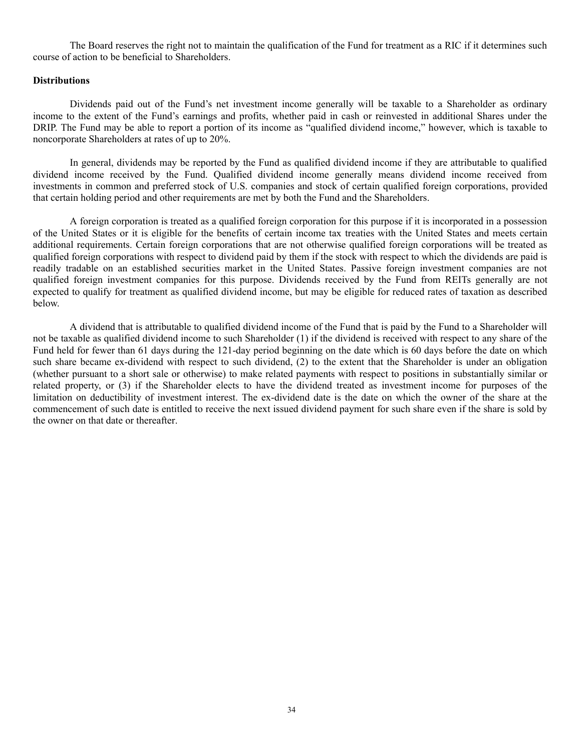The Board reserves the right not to maintain the qualification of the Fund for treatment as a RIC if it determines such course of action to be beneficial to Shareholders.

#### **Distributions**

Dividends paid out of the Fund's net investment income generally will be taxable to a Shareholder as ordinary income to the extent of the Fund's earnings and profits, whether paid in cash or reinvested in additional Shares under the DRIP. The Fund may be able to report a portion of its income as "qualified dividend income," however, which is taxable to noncorporate Shareholders at rates of up to 20%.

In general, dividends may be reported by the Fund as qualified dividend income if they are attributable to qualified dividend income received by the Fund. Qualified dividend income generally means dividend income received from investments in common and preferred stock of U.S. companies and stock of certain qualified foreign corporations, provided that certain holding period and other requirements are met by both the Fund and the Shareholders.

A foreign corporation is treated as a qualified foreign corporation for this purpose if it is incorporated in a possession of the United States or it is eligible for the benefits of certain income tax treaties with the United States and meets certain additional requirements. Certain foreign corporations that are not otherwise qualified foreign corporations will be treated as qualified foreign corporations with respect to dividend paid by them if the stock with respect to which the dividends are paid is readily tradable on an established securities market in the United States. Passive foreign investment companies are not qualified foreign investment companies for this purpose. Dividends received by the Fund from REITs generally are not expected to qualify for treatment as qualified dividend income, but may be eligible for reduced rates of taxation as described below.

A dividend that is attributable to qualified dividend income of the Fund that is paid by the Fund to a Shareholder will not be taxable as qualified dividend income to such Shareholder (1) if the dividend is received with respect to any share of the Fund held for fewer than 61 days during the 121-day period beginning on the date which is 60 days before the date on which such share became ex-dividend with respect to such dividend, (2) to the extent that the Shareholder is under an obligation (whether pursuant to a short sale or otherwise) to make related payments with respect to positions in substantially similar or related property, or (3) if the Shareholder elects to have the dividend treated as investment income for purposes of the limitation on deductibility of investment interest. The ex-dividend date is the date on which the owner of the share at the commencement of such date is entitled to receive the next issued dividend payment for such share even if the share is sold by the owner on that date or thereafter.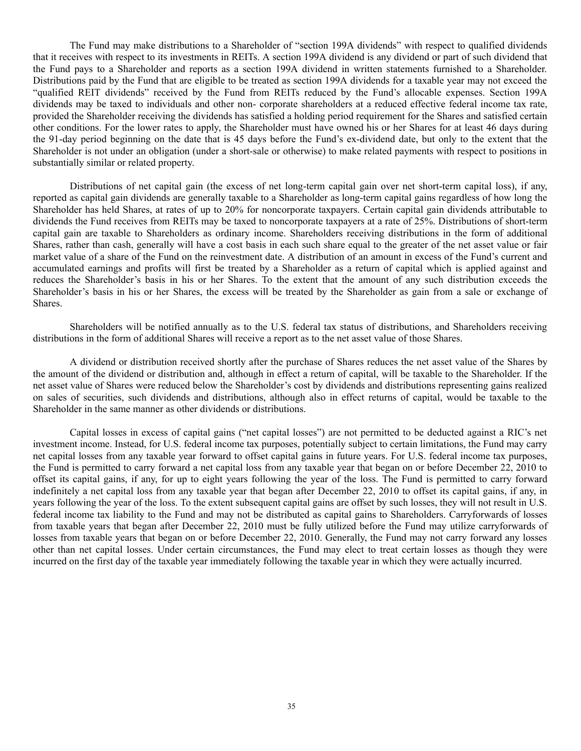The Fund may make distributions to a Shareholder of "section 199A dividends" with respect to qualified dividends that it receives with respect to its investments in REITs. A section 199A dividend is any dividend or part of such dividend that the Fund pays to a Shareholder and reports as a section 199A dividend in written statements furnished to a Shareholder. Distributions paid by the Fund that are eligible to be treated as section 199A dividends for a taxable year may not exceed the "qualified REIT dividends" received by the Fund from REITs reduced by the Fund's allocable expenses. Section 199A dividends may be taxed to individuals and other non-corporate shareholders at a reduced effective federal income tax rate, provided the Shareholder receiving the dividends has satisfied a holding period requirement for the Shares and satisfied certain other conditions. For the lower rates to apply, the Shareholder must have owned his or her Shares for at least 46 days during the 91-day period beginning on the date that is 45 days before the Fund's ex-dividend date, but only to the extent that the Shareholder is not under an obligation (under a short-sale or otherwise) to make related payments with respect to positions in substantially similar or related property.

Distributions of net capital gain (the excess of net long-term capital gain over net short-term capital loss), if any, reported as capital gain dividends are generally taxable to a Shareholder as long-term capital gains regardless of how long the Shareholder has held Shares, at rates of up to 20% for noncorporate taxpayers. Certain capital gain dividends attributable to dividends the Fund receives from REITs may be taxed to noncorporate taxpayers at a rate of 25%. Distributions of short-term capital gain are taxable to Shareholders as ordinary income. Shareholders receiving distributions in the form of additional Shares, rather than cash, generally will have a cost basis in each such share equal to the greater of the net asset value or fair market value of a share of the Fund on the reinvestment date. A distribution of an amount in excess of the Fund's current and accumulated earnings and profits will first be treated by a Shareholder as a return of capital which is applied against and reduces the Shareholder's basis in his or her Shares. To the extent that the amount of any such distribution exceeds the Shareholder's basis in his or her Shares, the excess will be treated by the Shareholder as gain from a sale or exchange of Shares.

Shareholders will be notified annually as to the U.S. federal tax status of distributions, and Shareholders receiving distributions in the form of additional Shares will receive a report as to the net asset value of those Shares.

A dividend or distribution received shortly after the purchase of Shares reduces the net asset value of the Shares by the amount of the dividend or distribution and, although in effect a return of capital, will be taxable to the Shareholder. If the net asset value of Shares were reduced below the Shareholder's cost by dividends and distributions representing gains realized on sales of securities, such dividends and distributions, although also in effect returns of capital, would be taxable to the Shareholder in the same manner as other dividends or distributions.

Capital losses in excess of capital gains ("net capital losses") are not permitted to be deducted against a RIC's net investment income. Instead, for U.S. federal income tax purposes, potentially subject to certain limitations, the Fund may carry net capital losses from any taxable year forward to offset capital gains in future years. For U.S. federal income tax purposes, the Fund is permitted to carry forward a net capital loss from any taxable year that began on or before December 22, 2010 to offset its capital gains, if any, for up to eight years following the year of the loss. The Fund is permitted to carry forward indefinitely a net capital loss from any taxable year that began after December 22, 2010 to offset its capital gains, if any, in years following the year of the loss. To the extent subsequent capital gains are offset by such losses, they will not result in U.S. federal income tax liability to the Fund and may not be distributed as capital gains to Shareholders. Carryforwards of losses from taxable years that began after December 22, 2010 must be fully utilized before the Fund may utilize carryforwards of losses from taxable years that began on or before December 22, 2010. Generally, the Fund may not carry forward any losses other than net capital losses. Under certain circumstances, the Fund may elect to treat certain losses as though they were incurred on the first day of the taxable year immediately following the taxable year in which they were actually incurred.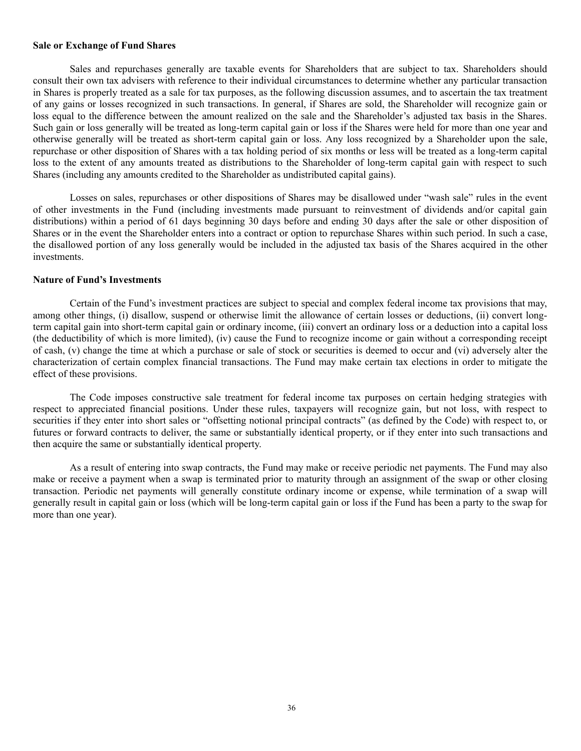#### **Sale or Exchange of Fund Shares**

Sales and repurchases generally are taxable events for Shareholders that are subject to tax. Shareholders should consult their own tax advisers with reference to their individual circumstances to determine whether any particular transaction in Shares is properly treated as a sale for tax purposes, as the following discussion assumes, and to ascertain the tax treatment of any gains or losses recognized in such transactions. In general, if Shares are sold, the Shareholder will recognize gain or loss equal to the difference between the amount realized on the sale and the Shareholder's adjusted tax basis in the Shares. Such gain or loss generally will be treated as long-term capital gain or loss if the Shares were held for more than one year and otherwise generally will be treated as short-term capital gain or loss. Any loss recognized by a Shareholder upon the sale, repurchase or other disposition of Shares with a tax holding period of six months or less will be treated as a long-term capital loss to the extent of any amounts treated as distributions to the Shareholder of long-term capital gain with respect to such Shares (including any amounts credited to the Shareholder as undistributed capital gains).

Losses on sales, repurchases or other dispositions of Shares may be disallowed under "wash sale" rules in the event of other investments in the Fund (including investments made pursuant to reinvestment of dividends and/or capital gain distributions) within a period of 61 days beginning 30 days before and ending 30 days after the sale or other disposition of Shares or in the event the Shareholder enters into a contract or option to repurchase Shares within such period. In such a case, the disallowed portion of any loss generally would be included in the adjusted tax basis of the Shares acquired in the other *investments* 

# **Nature of Fund's Investments**

Certain of the Fund's investment practices are subject to special and complex federal income tax provisions that may, among other things, (i) disallow, suspend or otherwise limit the allowance of certain losses or deductions, (ii) convert longterm capital gain into short-term capital gain or ordinary income, (iii) convert an ordinary loss or a deduction into a capital loss (the deductibility of which is more limited), (iv) cause the Fund to recognize income or gain without a corresponding receipt of cash, (v) change the time at which a purchase or sale of stock or securities is deemed to occur and (vi) adversely alter the characterization of certain complex financial transactions. The Fund may make certain tax elections in order to mitigate the effect of these provisions.

The Code imposes constructive sale treatment for federal income tax purposes on certain hedging strategies with respect to appreciated financial positions. Under these rules, taxpayers will recognize gain, but not loss, with respect to securities if they enter into short sales or "offsetting notional principal contracts" (as defined by the Code) with respect to, or futures or forward contracts to deliver, the same or substantially identical property, or if they enter into such transactions and then acquire the same or substantially identical property.

As a result of entering into swap contracts, the Fund may make or receive periodic net payments. The Fund may also make or receive a payment when a swap is terminated prior to maturity through an assignment of the swap or other closing transaction. Periodic net payments will generally constitute ordinary income or expense, while termination of a swap will generally result in capital gain or loss (which will be long-term capital gain or loss if the Fund has been a party to the swap for more than one year).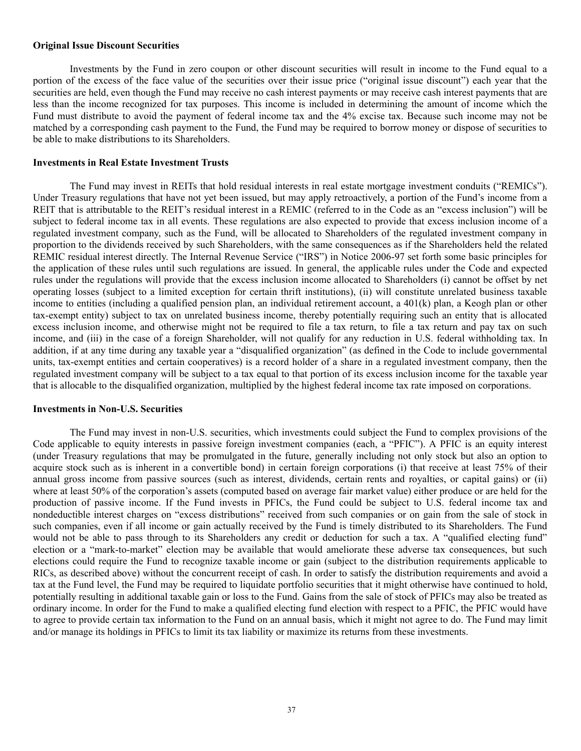#### **Original Issue Discount Securities**

Investments by the Fund in zero coupon or other discount securities will result in income to the Fund equal to a portion of the excess of the face value of the securities over their issue price ("original issue discount") each year that the securities are held, even though the Fund may receive no cash interest payments or may receive cash interest payments that are less than the income recognized for tax purposes. This income is included in determining the amount of income which the Fund must distribute to avoid the payment of federal income tax and the 4% excise tax. Because such income may not be matched by a corresponding cash payment to the Fund, the Fund may be required to borrow money or dispose of securities to be able to make distributions to its Shareholders.

#### **Investments in Real Estate Investment Trusts**

The Fund may invest in REITs that hold residual interests in real estate mortgage investment conduits ("REMICs"). Under Treasury regulations that have not vet been issued, but may apply retroactively, a portion of the Fund's income from a REIT that is attributable to the REIT's residual interest in a REMIC (referred to in the Code as an "excess inclusion") will be subject to federal income tax in all events. These regulations are also expected to provide that excess inclusion income of a regulated investment company, such as the Fund, will be allocated to Shareholders of the regulated investment company in proportion to the dividends received by such Shareholders, with the same consequences as if the Shareholders held the related REMIC residual interest directly. The Internal Revenue Service ("IRS") in Notice 2006-97 set forth some basic principles for the application of these rules until such regulations are issued. In general, the applicable rules under the Code and expected rules under the regulations will provide that the excess inclusion income allocated to Shareholders (i) cannot be offset by net operating losses (subject to a limited exception for certain thrift institutions), (ii) will constitute unrelated business taxable income to entities (including a qualified pension plan, an individual retirement account, a 401(k) plan, a Keogh plan or other tax-exempt entity) subject to tax on unrelated business income, thereby potentially requiring such an entity that is allocated excess inclusion income, and otherwise might not be required to file a tax return, to file a tax return and pay tax on such income, and (iii) in the case of a foreign Shareholder, will not qualify for any reduction in U.S. federal withholding tax. In addition, if at any time during any taxable year a "disqualified organization" (as defined in the Code to include governmental units, tax-exempt entities and certain cooperatives) is a record holder of a share in a regulated investment company, then the regulated investment company will be subject to a tax equal to that portion of its excess inclusion income for the taxable year that is allocable to the disqualified organization, multiplied by the highest federal income tax rate imposed on corporations.

#### **Investments in Non-U.S. Securities**

The Fund may invest in non-U.S. securities, which investments could subject the Fund to complex provisions of the Code applicable to equity interests in passive foreign investment companies (each, a "PFIC"). A PFIC is an equity interest (under Treasury regulations that may be promulgated in the future, generally including not only stock but also an option to acquire stock such as is inherent in a convertible bond) in certain foreign corporations (i) that receive at least 75% of their annual gross income from passive sources (such as interest, dividends, certain rents and royalties, or capital gains) or (ii) where at least 50% of the corporation's assets (computed based on average fair market value) either produce or are held for the production of passive income. If the Fund invests in PFICs, the Fund could be subject to U.S. federal income tax and nondeductible interest charges on "excess distributions" received from such companies or on gain from the sale of stock in such companies, even if all income or gain actually received by the Fund is timely distributed to its Shareholders. The Fund would not be able to pass through to its Shareholders any credit or deduction for such a tax. A "qualified electing fund" election or a "mark-to-market" election may be available that would ameliorate these adverse tax consequences, but such elections could require the Fund to recognize taxable income or gain (subject to the distribution requirements applicable to RICs, as described above) without the concurrent receipt of cash. In order to satisfy the distribution requirements and avoid a tax at the Fund level, the Fund may be required to liquidate portfolio securities that it might otherwise have continued to hold, potentially resulting in additional taxable gain or loss to the Fund. Gains from the sale of stock of PFICs may also be treated as ordinary income. In order for the Fund to make a qualified electing fund election with respect to a PFIC, the PFIC would have to agree to provide certain tax information to the Fund on an annual basis, which it might not agree to do. The Fund may limit and/or manage its holdings in PFICs to limit its tax liability or maximize its returns from these investments.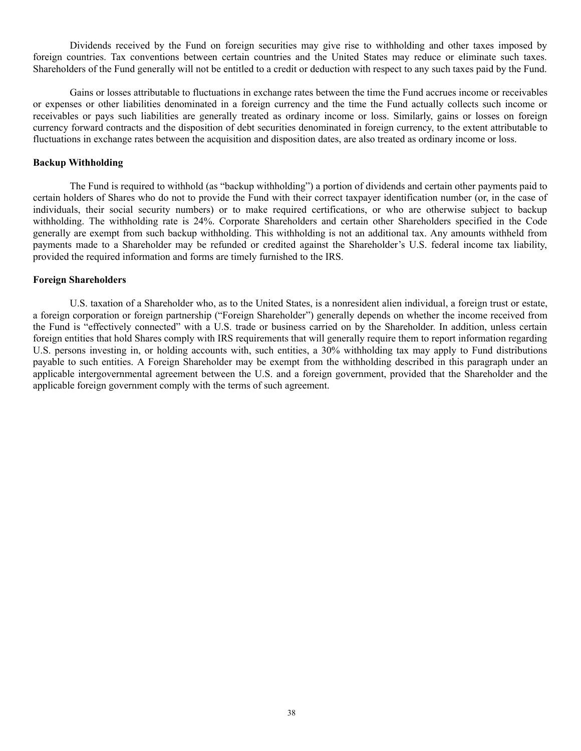Dividends received by the Fund on foreign securities may give rise to withholding and other taxes imposed by foreign countries. Tax conventions between certain countries and the United States may reduce or eliminate such taxes. Shareholders of the Fund generally will not be entitled to a credit or deduction with respect to any such taxes paid by the Fund.

Gains or losses attributable to fluctuations in exchange rates between the time the Fund accrues income or receivables or expenses or other liabilities denominated in a foreign currency and the time the Fund actually collects such income or receivables or pays such liabilities are generally treated as ordinary income or loss. Similarly, gains or losses on foreign currency forward contracts and the disposition of debt securities denominated in foreign currency, to the extent attributable to fluctuations in exchange rates between the acquisition and disposition dates, are also treated as ordinary income or loss.

#### **Backup Withholding**

The Fund is required to withhold (as "backup withholding") a portion of dividends and certain other payments paid to certain holders of Shares who do not to provide the Fund with their correct taxpayer identification number (or, in the case of individuals, their social security numbers) or to make required certifications, or who are otherwise subject to backup withholding. The withholding rate is 24%. Corporate Shareholders and certain other Shareholders specified in the Code generally are exempt from such backup withholding. This withholding is not an additional tax. Any amounts withheld from payments made to a Shareholder may be refunded or credited against the Shareholder's U.S. federal income tax liability. provided the required information and forms are timely furnished to the IRS.

#### **Foreign Shareholders**

U.S. taxation of a Shareholder who, as to the United States, is a nonresident alien individual, a foreign trust or estate, a foreign corporation or foreign partnership ("Foreign Shareholder") generally depends on whether the income received from the Fund is "effectively connected" with a U.S. trade or business carried on by the Shareholder. In addition, unless certain foreign entities that hold Shares comply with IRS requirements that will generally require them to report information regarding U.S. persons investing in, or holding accounts with, such entities, a 30% withholding tax may apply to Fund distributions payable to such entities. A Foreign Shareholder may be exempt from the withholding described in this paragraph under an applicable intergovernmental agreement between the U.S. and a foreign government, provided that the Shareholder and the applicable foreign government comply with the terms of such agreement.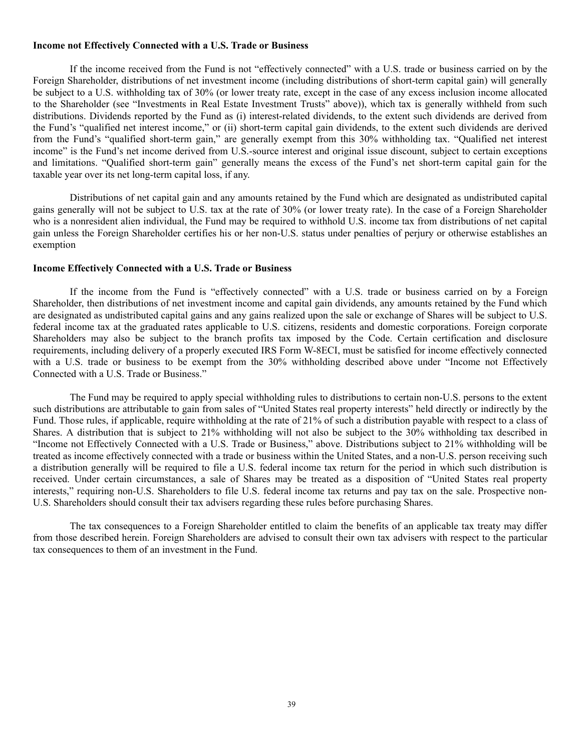#### Income not Effectively Connected with a U.S. Trade or Business

If the income received from the Fund is not "effectively connected" with a U.S. trade or business carried on by the Foreign Shareholder, distributions of net investment income (including distributions of short-term capital gain) will generally be subject to a U.S. withholding tax of 30% (or lower treaty rate, except in the case of any excess inclusion income allocated to the Shareholder (see "Investments in Real Estate Investment Trusts" above)), which tax is generally withheld from such distributions. Dividends reported by the Fund as (i) interest-related dividends, to the extent such dividends are derived from the Fund's "qualified net interest income," or (ii) short-term capital gain dividends, to the extent such dividends are derived from the Fund's "qualified short-term gain," are generally exempt from this 30% withholding tax. "Qualified net interest income" is the Fund's net income derived from U.S.-source interest and original issue discount, subject to certain exceptions and limitations. "Qualified short-term gain" generally means the excess of the Fund's net short-term capital gain for the taxable year over its net long-term capital loss, if any.

Distributions of net capital gain and any amounts retained by the Fund which are designated as undistributed capital gains generally will not be subject to U.S. tax at the rate of 30% (or lower treaty rate). In the case of a Foreign Shareholder who is a nonresident alien individual, the Fund may be required to withhold U.S. income tax from distributions of net capital gain unless the Foreign Shareholder certifies his or her non-U.S. status under penalties of perjury or otherwise establishes an exemption

#### Income Effectively Connected with a U.S. Trade or Business

If the income from the Fund is "effectively connected" with a U.S. trade or business carried on by a Foreign Shareholder, then distributions of net investment income and capital gain dividends, any amounts retained by the Fund which are designated as undistributed capital gains and any gains realized upon the sale or exchange of Shares will be subject to U.S. federal income tax at the graduated rates applicable to U.S. citizens, residents and domestic corporations. Foreign corporate Shareholders may also be subject to the branch profits tax imposed by the Code. Certain certification and disclosure requirements, including delivery of a properly executed IRS Form W-8ECI, must be satisfied for income effectively connected with a U.S. trade or business to be exempt from the 30% withholding described above under "Income not Effectively Connected with a U.S. Trade or Business."

The Fund may be required to apply special withholding rules to distributions to certain non-U.S. persons to the extent such distributions are attributable to gain from sales of "United States real property interests" held directly or indirectly by the Fund. Those rules, if applicable, require withholding at the rate of 21% of such a distribution payable with respect to a class of Shares. A distribution that is subject to 21% withholding will not also be subject to the 30% withholding tax described in "Income not Effectively Connected with a U.S. Trade or Business," above. Distributions subject to 21% withholding will be treated as income effectively connected with a trade or business within the United States, and a non-U.S. person receiving such a distribution generally will be required to file a U.S. federal income tax return for the period in which such distribution is received. Under certain circumstances, a sale of Shares may be treated as a disposition of "United States real property interests," requiring non-U.S. Shareholders to file U.S. federal income tax returns and pay tax on the sale. Prospective non-U.S. Shareholders should consult their tax advisers regarding these rules before purchasing Shares.

The tax consequences to a Foreign Shareholder entitled to claim the benefits of an applicable tax treaty may differ from those described herein. Foreign Shareholders are advised to consult their own tax advisers with respect to the particular tax consequences to them of an investment in the Fund.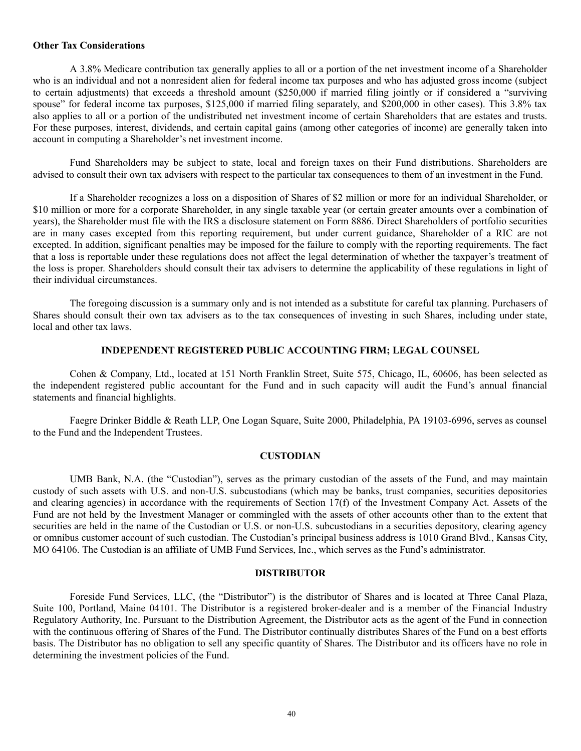#### **Other Tax Considerations**

A 3.8% Medicare contribution tax generally applies to all or a portion of the net investment income of a Shareholder who is an individual and not a nonresident alien for federal income tax purposes and who has adjusted gross income (subject to certain adjustments) that exceeds a threshold amount (\$250,000 if married filing jointly or if considered a "surviving" spouse" for federal income tax purposes, \$125,000 if married filing separately, and \$200,000 in other cases). This 3.8% tax also applies to all or a portion of the undistributed net investment income of certain Shareholders that are estates and trusts. For these purposes, interest, dividends, and certain capital gains (among other categories of income) are generally taken into account in computing a Shareholder's net investment income.

Fund Shareholders may be subject to state, local and foreign taxes on their Fund distributions. Shareholders are advised to consult their own tax advisers with respect to the particular tax consequences to them of an investment in the Fund.

If a Shareholder recognizes a loss on a disposition of Shares of \$2 million or more for an individual Shareholder, or \$10 million or more for a corporate Shareholder, in any single taxable year (or certain greater amounts over a combination of years), the Shareholder must file with the IRS a disclosure statement on Form 8886. Direct Shareholders of portfolio securities are in many cases excepted from this reporting requirement, but under current guidance, Shareholder of a RIC are not excepted. In addition, significant penalties may be imposed for the failure to comply with the reporting requirements. The fact that a loss is reportable under these regulations does not affect the legal determination of whether the taxpayer's treatment of the loss is proper. Shareholders should consult their tax advisers to determine the applicability of these regulations in light of their individual circumstances.

The foregoing discussion is a summary only and is not intended as a substitute for careful tax planning. Purchasers of Shares should consult their own tax advisers as to the tax consequences of investing in such Shares, including under state, local and other tax laws

# **INDEPENDENT REGISTERED PUBLIC ACCOUNTING FIRM; LEGAL COUNSEL**

Cohen & Company, Ltd., located at 151 North Franklin Street, Suite 575, Chicago, IL, 60606, has been selected as the independent registered public accountant for the Fund and in such capacity will audit the Fund's annual financial statements and financial highlights.

Faegre Drinker Biddle & Reath LLP, One Logan Square, Suite 2000, Philadelphia, PA 19103-6996, serves as counsel to the Fund and the Independent Trustees.

## **CUSTODIAN**

UMB Bank, N.A. (the "Custodian"), serves as the primary custodian of the assets of the Fund, and may maintain custody of such assets with U.S. and non-U.S. subcustodians (which may be banks, trust companies, securities depositories and clearing agencies) in accordance with the requirements of Section 17(f) of the Investment Company Act. Assets of the Fund are not held by the Investment Manager or commingled with the assets of other accounts other than to the extent that securities are held in the name of the Custodian or U.S. or non-U.S. subcustodians in a securities depository, clearing agency or omnibus customer account of such custodian. The Custodian's principal business address is 1010 Grand Blvd., Kansas City, MO 64106. The Custodian is an affiliate of UMB Fund Services, Inc., which serves as the Fund's administrator.

#### **DISTRIBUTOR**

Foreside Fund Services, LLC, (the "Distributor") is the distributor of Shares and is located at Three Canal Plaza, Suite 100, Portland, Maine 04101. The Distributor is a registered broker-dealer and is a member of the Financial Industry Regulatory Authority, Inc. Pursuant to the Distribution Agreement, the Distributor acts as the agent of the Fund in connection with the continuous offering of Shares of the Fund. The Distributor continually distributes Shares of the Fund on a best efforts basis. The Distributor has no obligation to sell any specific quantity of Shares. The Distributor and its officers have no role in determining the investment policies of the Fund.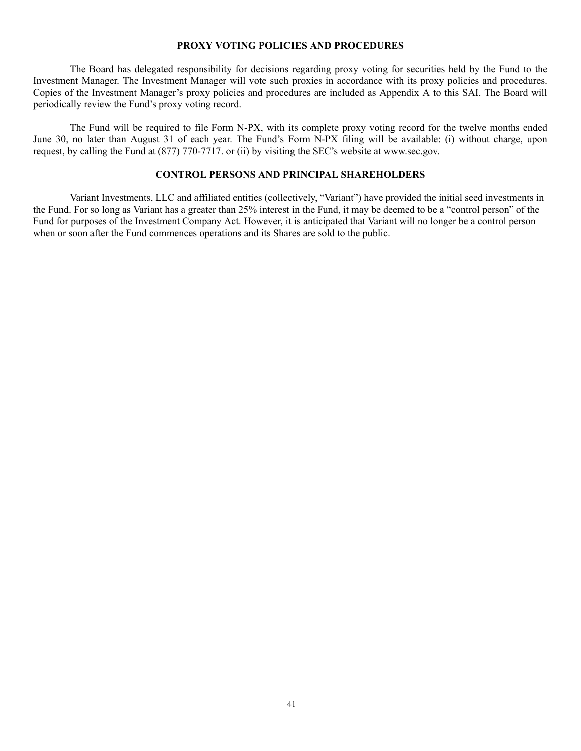## PROXY VOTING POLICIES AND PROCEDURES

The Board has delegated responsibility for decisions regarding proxy voting for securities held by the Fund to the Investment Manager. The Investment Manager will vote such proxies in accordance with its proxy policies and procedures. Copies of the Investment Manager's proxy policies and procedures are included as Appendix A to this SAI. The Board will periodically review the Fund's proxy voting record.

The Fund will be required to file Form N-PX, with its complete proxy voting record for the twelve months ended June 30, no later than August 31 of each year. The Fund's Form N-PX filing will be available: (i) without charge, upon request, by calling the Fund at (877) 770-7717. or (ii) by visiting the SEC's website at www.sec.gov.

## **CONTROL PERSONS AND PRINCIPAL SHAREHOLDERS**

Variant Investments, LLC and affiliated entities (collectively, "Variant") have provided the initial seed investments in the Fund. For so long as Variant has a greater than 25% interest in the Fund, it may be deemed to be a "control person" of the Fund for purposes of the Investment Company Act. However, it is anticipated that Variant will no longer be a control person when or soon after the Fund commences operations and its Shares are sold to the public.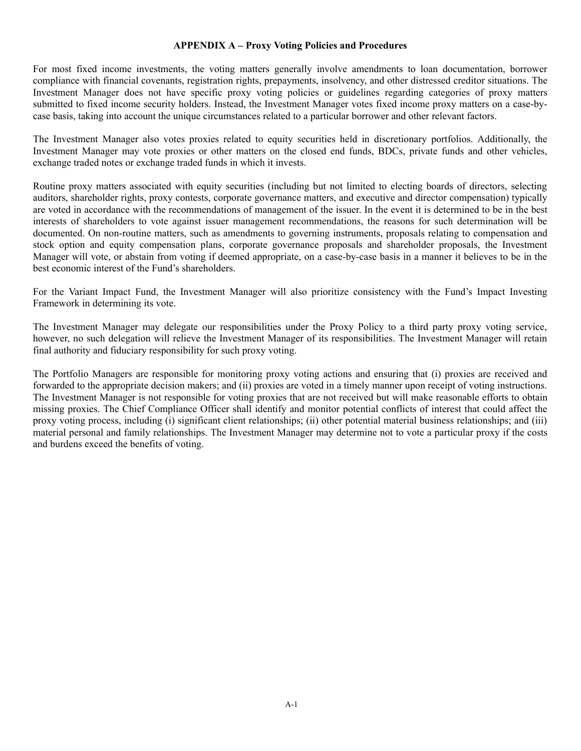#### **APPENDIX A – Proxy Voting Policies and Procedures**

For most fixed income investments, the voting matters generally involve amendments to loan documentation, borrower compliance with financial covenants, registration rights, prepayments, insolvency, and other distressed creditor situations. The Investment Manager does not have specific proxy voting policies or guidelines regarding categories of proxy matters submitted to fixed income security holders. Instead, the Investment Manager votes fixed income proxy matters on a case-bycase basis, taking into account the unique circumstances related to a particular borrower and other relevant factors.

The Investment Manager also votes proxies related to equity securities held in discretionary portfolios. Additionally, the Investment Manager may vote proxies or other matters on the closed end funds, BDCs, private funds and other vehicles, exchange traded notes or exchange traded funds in which it invests.

Routine proxy matters associated with equity securities (including but not limited to electing boards of directors, selecting auditors, shareholder rights, proxy contests, corporate governance matters, and executive and director compensation) typically are voted in accordance with the recommendations of management of the issuer. In the event it is determined to be in the best interests of shareholders to vote against issuer management recommendations, the reasons for such determination will be documented. On non-routine matters, such as amendments to governing instruments, proposals relating to compensation and stock option and equity compensation plans, corporate governance proposals and shareholder proposals, the Investment Manager will vote, or abstain from voting if deemed appropriate, on a case-by-case basis in a manner it believes to be in the best economic interest of the Fund's shareholders.

For the Variant Impact Fund, the Investment Manager will also prioritize consistency with the Fund's Impact Investing Framework in determining its vote.

The Investment Manager may delegate our responsibilities under the Proxy Policy to a third party proxy voting service, however, no such delegation will relieve the Investment Manager of its responsibilities. The Investment Manager will retain final authority and fiduciary responsibility for such proxy voting.

The Portfolio Managers are responsible for monitoring proxy voting actions and ensuring that (i) proxies are received and forwarded to the appropriate decision makers; and (ii) proxies are voted in a timely manner upon receipt of voting instructions. The Investment Manager is not responsible for voting proxies that are not received but will make reasonable efforts to obtain missing proxies. The Chief Compliance Officer shall identify and monitor potential conflicts of interest that could affect the proxy voting process, including (i) significant client relationships; (ii) other potential material business relationships; and (iii) material personal and family relationships. The Investment Manager may determine not to vote a particular proxy if the costs and burdens exceed the benefits of voting.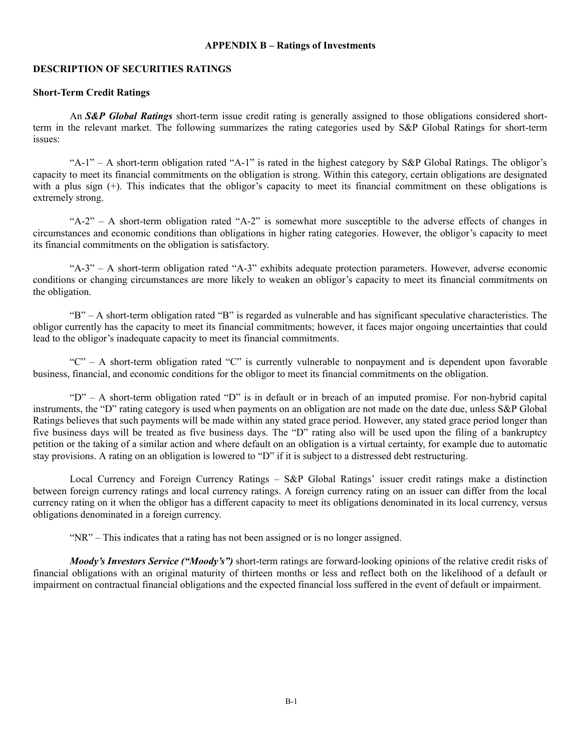#### **APPENDIX B – Ratings of Investments**

## **DESCRIPTION OF SECURITIES RATINGS**

#### **Short-Term Credit Ratings**

An *S&P Global Ratings* short-term issue credit rating is generally assigned to those obligations considered shortterm in the relevant market. The following summarizes the rating categories used by S&P Global Ratings for short-term issues:

"A-1" – A short-term obligation rated "A-1" is rated in the highest category by S&P Global Ratings. The obligor's capacity to meet its financial commitments on the obligation is strong. Within this category, certain obligations are designated with a plus sign (+). This indicates that the obligor's capacity to meet its financial commitment on these obligations is extremely strong.

"A-2" – A short-term obligation rated "A-2" is somewhat more susceptible to the adverse effects of changes in circumstances and economic conditions than obligations in higher rating categories. However, the obligor's capacity to meet its financial commitments on the obligation is satisfactory.

"A-3" – A short-term obligation rated "A-3" exhibits adequate protection parameters. However, adverse economic conditions or changing circumstances are more likely to weaken an obligor's capacity to meet its financial commitments on the obligation.

"B" – A short-term obligation rated "B" is regarded as vulnerable and has significant speculative characteristics. The obligor currently has the capacity to meet its financial commitments; however, it faces major ongoing uncertainties that could lead to the obligor's inadequate capacity to meet its financial commitments.

" $C$ " – A short-term obligation rated "C" is currently vulnerable to nonpayment and is dependent upon favorable business, financial, and economic conditions for the obligor to meet its financial commitments on the obligation.

"D" – A short-term obligation rated "D" is in default or in breach of an imputed promise. For non-hybrid capital instruments, the "D" rating category is used when payments on an obligation are not made on the date due, unless S&P Global Ratings believes that such payments will be made within any stated grace period. However, any stated grace period longer than five business days will be treated as five business days. The "D" rating also will be used upon the filing of a bankruptcy petition or the taking of a similar action and where default on an obligation is a virtual certainty, for example due to automatic stay provisions. A rating on an obligation is lowered to "D" if it is subject to a distressed debt restructuring.

Local Currency and Foreign Currency Ratings – S&P Global Ratings' issuer credit ratings make a distinction between foreign currency ratings and local currency ratings. A foreign currency rating on an issuer can differ from the local currency rating on it when the obligor has a different capacity to meet its obligations denominated in its local currency, versus obligations denominated in a foreign currency.

"NR" – This indicates that a rating has not been assigned or is no longer assigned.

*Moody's Investors Service ("Moody's")* short-term ratings are forward-looking opinions of the relative credit risks of financial obligations with an original maturity of thirteen months or less and reflect both on the likelihood of a default or impairment on contractual financial obligations and the expected financial loss suffered in the event of default or impairment.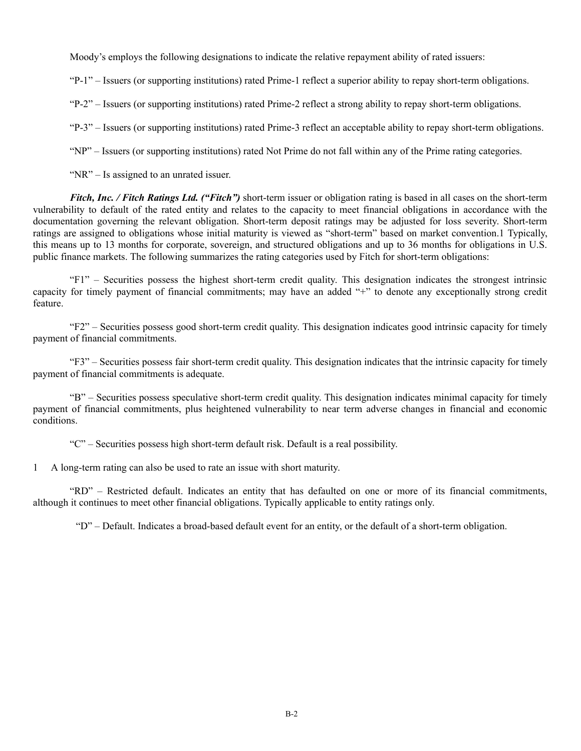Moody's employs the following designations to indicate the relative repayment ability of rated issuers:

"P-1" – Issuers (or supporting institutions) rated Prime-1 reflect a superior ability to repay short-term obligations.

"P-2" – Issuers (or supporting institutions) rated Prime-2 reflect a strong ability to repay short-term obligations.

"P-3" – Issuers (or supporting institutions) rated Prime-3 reflect an acceptable ability to repay short-term obligations.

"NP" – Issuers (or supporting institutions) rated Not Prime do not fall within any of the Prime rating categories.

"NR" – Is assigned to an unrated issuer.

*Fitch, Inc. / Fitch Ratings Ltd. ("Fitch")* short-term issuer or obligation rating is based in all cases on the short-term vulnerability to default of the rated entity and relates to the capacity to meet financial obligations in accordance with the documentation governing the relevant obligation. Short-term deposit ratings may be adjusted for loss severity. Short-term ratings are assigned to obligations whose initial maturity is viewed as "short-term" based on market convention.1 Typically, this means up to 13 months for corporate, sovereign, and structured obligations and up to 36 months for obligations in U.S. public finance markets. The following summarizes the rating categories used by Fitch for short-term obligations:

"F1" – Securities possess the highest short-term credit quality. This designation indicates the strongest intrinsic capacity for timely payment of financial commitments; may have an added "+" to denote any exceptionally strong credit feature.

"F2" – Securities possess good short-term credit quality. This designation indicates good intrinsic capacity for timely payment of financial commitments.

"F3" – Securities possess fair short-term credit quality. This designation indicates that the intrinsic capacity for timely payment of financial commitments is adequate.

"B" – Securities possess speculative short-term credit quality. This designation indicates minimal capacity for timely payment of financial commitments, plus heightened vulnerability to near term adverse changes in financial and economic conditions.

"C" – Securities possess high short-term default risk. Default is a real possibility.

1 A long-term rating can also be used to rate an issue with short maturity.

"RD" – Restricted default. Indicates an entity that has defaulted on one or more of its financial commitments, although it continues to meet other financial obligations. Typically applicable to entity ratings only.

"D" – Default. Indicates a broad-based default event for an entity, or the default of a short-term obligation.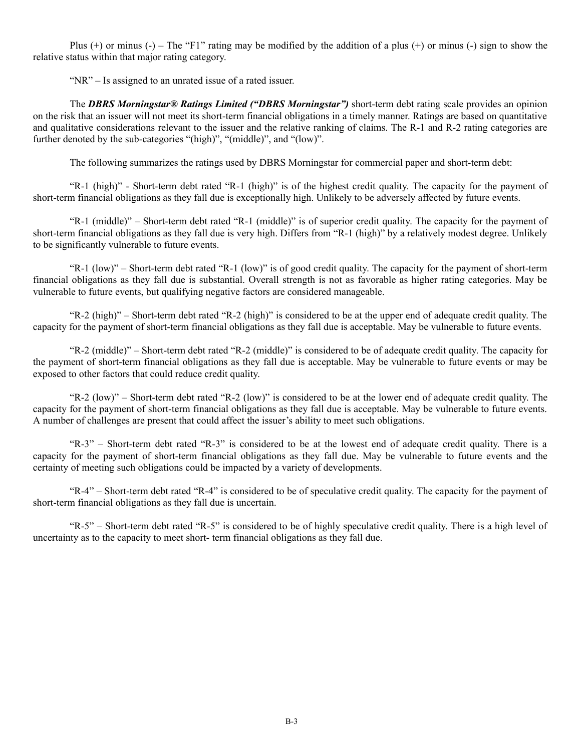Plus  $(+)$  or minus  $(-)$  – The "F1" rating may be modified by the addition of a plus  $(+)$  or minus  $(-)$  sign to show the relative status within that major rating category.

"NR" – Is assigned to an unrated issue of a rated issuer.

The *DBRS Morningstar® Ratings Limited ("DBRS Morningstar")* short-term debt rating scale provides an opinion on the risk that an issuer will not meet its short-term financial obligations in a timely manner. Ratings are based on quantitative and qualitative considerations relevant to the issuer and the relative ranking of claims. The R-1 and R-2 rating categories are further denoted by the sub-categories "(high)", "(middle)", and "(low)".

The following summarizes the ratings used by DBRS Morningstar for commercial paper and short-term debt:

"R-1 (high)" - Short-term debt rated "R-1 (high)" is of the highest credit quality. The capacity for the payment of short-term financial obligations as they fall due is exceptionally high. Unlikely to be adversely affected by future events.

"R-1 (middle)" – Short-term debt rated "R-1 (middle)" is of superior credit quality. The capacity for the payment of short-term financial obligations as they fall due is very high. Differs from "R-1 (high)" by a relatively modest degree. Unlikely to be significantly vulnerable to future events.

"R-1 (low)" – Short-term debt rated "R-1 (low)" is of good credit quality. The capacity for the payment of short-term financial obligations as they fall due is substantial. Overall strength is not as favorable as higher rating categories. May be vulnerable to future events, but qualifying negative factors are considered manageable.

"R-2 (high)" – Short-term debt rated "R-2 (high)" is considered to be at the upper end of adequate credit quality. The capacity for the payment of short-term financial obligations as they fall due is acceptable. May be vulnerable to future events.

"R-2 (middle)" – Short-term debt rated "R-2 (middle)" is considered to be of adequate credit quality. The capacity for the payment of short-term financial obligations as they fall due is acceptable. May be vulnerable to future events or may be exposed to other factors that could reduce credit quality.

"R-2 (low)" – Short-term debt rated "R-2 (low)" is considered to be at the lower end of adequate credit quality. The capacity for the payment of short-term financial obligations as they fall due is acceptable. May be vulnerable to future events. A number of challenges are present that could affect the issuer's ability to meet such obligations.

"R-3" – Short-term debt rated "R-3" is considered to be at the lowest end of adequate credit quality. There is a capacity for the payment of short-term financial obligations as they fall due. May be vulnerable to future events and the certainty of meeting such obligations could be impacted by a variety of developments.

"R-4" – Short-term debt rated "R-4" is considered to be of speculative credit quality. The capacity for the payment of short-term financial obligations as they fall due is uncertain.

"R-5" – Short-term debt rated "R-5" is considered to be of highly speculative credit quality. There is a high level of uncertainty as to the capacity to meet short- term financial obligations as they fall due.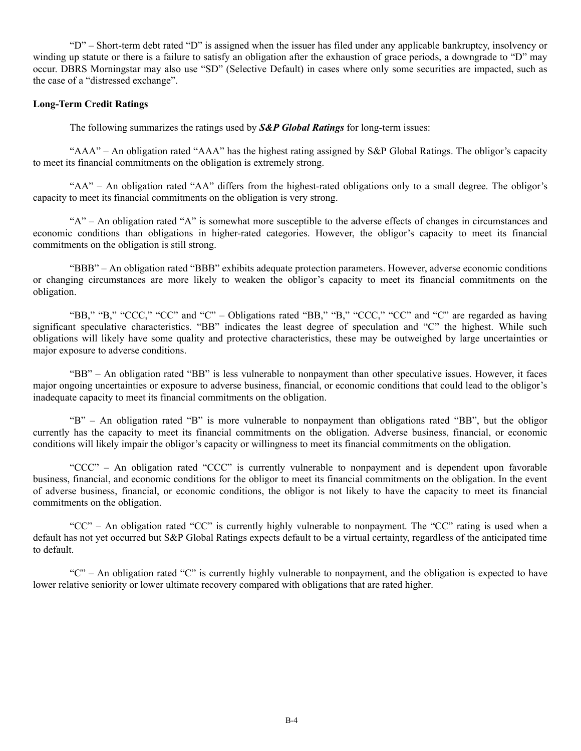"D" – Short-term debt rated "D" is assigned when the issuer has filed under any applicable bankruptcy, insolvency or winding up statute or there is a failure to satisfy an obligation after the exhaustion of grace periods, a downgrade to "D" may occur. DBRS Morningstar may also use "SD" (Selective Default) in cases where only some securities are impacted, such as the case of a "distressed exchange".

## **Long-Term Credit Ratings**

The following summarizes the ratings used by *S&P Global Ratings* for long-term issues:

"AAA" – An obligation rated "AAA" has the highest rating assigned by S&P Global Ratings. The obligor's capacity to meet its financial commitments on the obligation is extremely strong.

"AA" – An obligation rated "AA" differs from the highest-rated obligations only to a small degree. The obligor's capacity to meet its financial commitments on the obligation is very strong.

" $A$ " – An obligation rated " $A$ " is somewhat more susceptible to the adverse effects of changes in circumstances and economic conditions than obligations in higher-rated categories. However, the obligor's capacity to meet its financial commitments on the obligation is still strong.

"BBB" – An obligation rated "BBB" exhibits adequate protection parameters. However, adverse economic conditions or changing circumstances are more likely to weaken the obligor's capacity to meet its financial commitments on the obligation.

"BB," "B," "CCC," "CC" and "C" – Obligations rated "BB," "B," "CCC," "CC" and "C" are regarded as having significant speculative characteristics. "BB" indicates the least degree of speculation and "C" the highest. While such obligations will likely have some quality and protective characteristics, these may be outweighed by large uncertainties or major exposure to adverse conditions.

"BB" – An obligation rated "BB" is less vulnerable to nonpayment than other speculative issues. However, it faces major ongoing uncertainties or exposure to adverse business, financial, or economic conditions that could lead to the obligor's inadequate capacity to meet its financial commitments on the obligation.

"B" – An obligation rated "B" is more vulnerable to nonpayment than obligations rated "BB", but the obligor currently has the capacity to meet its financial commitments on the obligation. Adverse business, financial, or economic conditions will likely impair the obligor's capacity or willingness to meet its financial commitments on the obligation.

"CCC" – An obligation rated "CCC" is currently vulnerable to nonpayment and is dependent upon favorable business, financial, and economic conditions for the obligor to meet its financial commitments on the obligation. In the event of adverse business, financial, or economic conditions, the obligor is not likely to have the capacity to meet its financial commitments on the obligation.

"CC" – An obligation rated "CC" is currently highly vulnerable to nonpayment. The "CC" rating is used when a default has not yet occurred but S&P Global Ratings expects default to be a virtual certainty, regardless of the anticipated time to default.

"C" – An obligation rated "C" is currently highly vulnerable to nonpayment, and the obligation is expected to have lower relative seniority or lower ultimate recovery compared with obligations that are rated higher.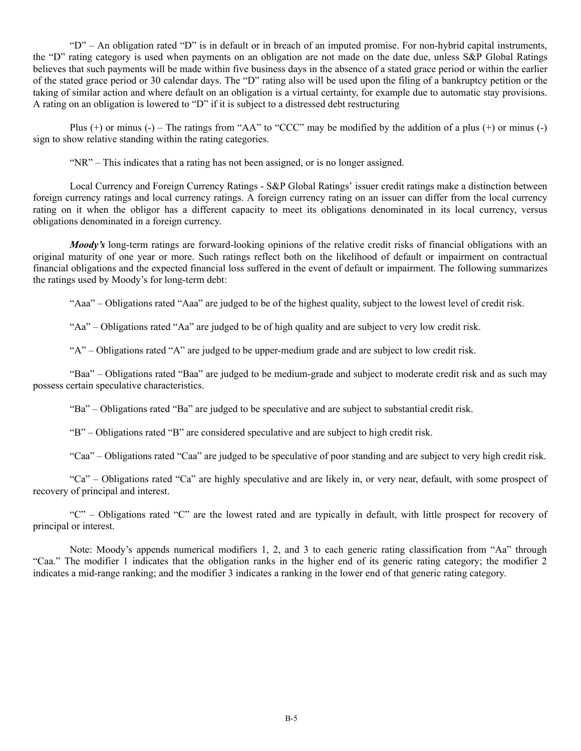" $D$ " – An obligation rated "D" is in default or in breach of an imputed promise. For non-hybrid capital instruments, the "D" rating category is used when payments on an obligation are not made on the date due, unless S&P Global Ratings believes that such payments will be made within five business days in the absence of a stated grace period or within the earlier of the stated grace period or 30 calendar days. The "D" rating also will be used upon the filing of a bankruptcy petition or the taking of similar action and where default on an obligation is a virtual certainty, for example due to automatic stay provisions. A rating on an obligation is lowered to "D" if it is subject to a distressed debt restructuring

Plus  $(+)$  or minus  $(-)$  – The ratings from "AA" to "CCC" may be modified by the addition of a plus  $(+)$  or minus  $(-)$ sign to show relative standing within the rating categories.

"NR" – This indicates that a rating has not been assigned, or is no longer assigned.

Local Currency and Foreign Currency Ratings - S&P Global Ratings' issuer credit ratings make a distinction between foreign currency ratings and local currency ratings. A foreign currency rating on an issuer can differ from the local currency rating on it when the obligor has a different capacity to meet its obligations denominated in its local currency, versus obligations denominated in a foreign currency.

*Moody's* long-term ratings are forward-looking opinions of the relative credit risks of financial obligations with an original maturity of one year or more. Such ratings reflect both on the likelihood of default or impairment on contractual financial obligations and the expected financial loss suffered in the event of default or impairment. The following summarizes the ratings used by Moody's for long-term debt:

"Aaa" – Obligations rated "Aaa" are judged to be of the highest quality, subject to the lowest level of credit risk.

"Aa" – Obligations rated "Aa" are judged to be of high quality and are subject to very low credit risk.

" $A$ " – Obligations rated " $A$ " are judged to be upper-medium grade and are subject to low credit risk.

"Baa" – Obligations rated "Baa" are judged to be medium-grade and subject to moderate credit risk and as such may possess certain speculative characteristics.

"Ba" – Obligations rated "Ba" are judged to be speculative and are subject to substantial credit risk.

"B" – Obligations rated "B" are considered speculative and are subject to high credit risk.

"Caa" – Obligations rated "Caa" are judged to be speculative of poor standing and are subject to very high credit risk.

"Ca" – Obligations rated "Ca" are highly speculative and are likely in, or very near, default, with some prospect of recovery of principal and interest.

"C" – Obligations rated "C" are the lowest rated and are typically in default, with little prospect for recovery of principal or interest.

Note: Moody's appends numerical modifiers 1, 2, and 3 to each generic rating classification from "Aa" through "Caa." The modifier 1 indicates that the obligation ranks in the higher end of its generic rating category; the modifier 2 indicates a mid-range ranking; and the modifier 3 indicates a ranking in the lower end of that generic rating category.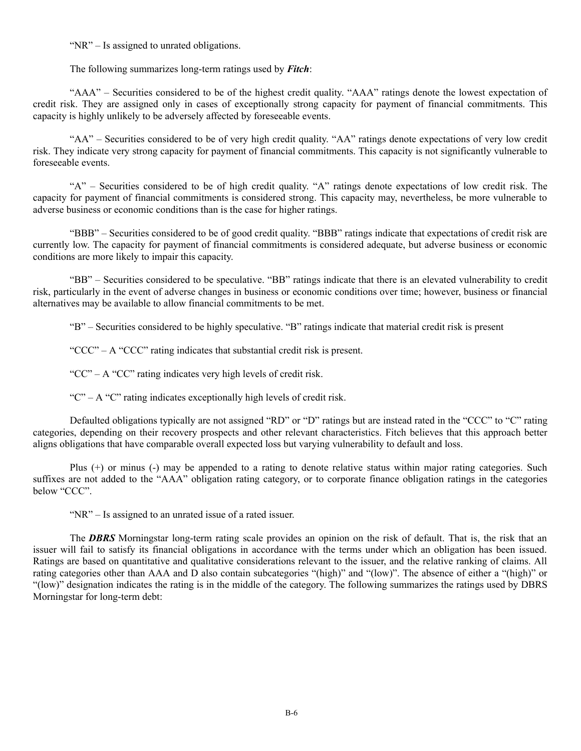"NR" – Is assigned to unrated obligations.

The following summarizes long-term ratings used by *Fitch*:

"AAA" – Securities considered to be of the highest credit quality. "AAA" ratings denote the lowest expectation of credit risk. They are assigned only in cases of exceptionally strong capacity for payment of financial commitments. This capacity is highly unlikely to be adversely affected by foreseeable events.

"AA" – Securities considered to be of very high credit quality. "AA" ratings denote expectations of very low credit risk. They indicate very strong capacity for payment of financial commitments. This capacity is not significantly vulnerable to foreseeable events.

"A" – Securities considered to be of high credit quality. "A" ratings denote expectations of low credit risk. The capacity for payment of financial commitments is considered strong. This capacity may, nevertheless, be more vulnerable to adverse business or economic conditions than is the case for higher ratings.

"BBB" – Securities considered to be of good credit quality. "BBB" ratings indicate that expectations of credit risk are currently low. The capacity for payment of financial commitments is considered adequate, but adverse business or economic conditions are more likely to impair this capacity.

"BB" – Securities considered to be speculative. "BB" ratings indicate that there is an elevated vulnerability to credit risk, particularly in the event of adverse changes in business or economic conditions over time; however, business or financial alternatives may be available to allow financial commitments to be met.

"B" – Securities considered to be highly speculative. "B" ratings indicate that material credit risk is present

"CCC" – A "CCC" rating indicates that substantial credit risk is present.

"CC" – A "CC" rating indicates very high levels of credit risk.

"C" – A "C" rating indicates exceptionally high levels of credit risk.

Defaulted obligations typically are not assigned "RD" or "D" ratings but are instead rated in the "CCC" to "C" rating categories, depending on their recovery prospects and other relevant characteristics. Fitch believes that this approach better aligns obligations that have comparable overall expected loss but varying vulnerability to default and loss.

Plus (+) or minus (-) may be appended to a rating to denote relative status within major rating categories. Such suffixes are not added to the "AAA" obligation rating category, or to corporate finance obligation ratings in the categories below "CCC".

"NR" – Is assigned to an unrated issue of a rated issuer.

The *DBRS* Morningstar long-term rating scale provides an opinion on the risk of default. That is, the risk that an issuer will fail to satisfy its financial obligations in accordance with the terms under which an obligation has been issued. Ratings are based on quantitative and qualitative considerations relevant to the issuer, and the relative ranking of claims. All rating categories other than AAA and D also contain subcategories "(high)" and "(low)". The absence of either a "(high)" or "(low)" designation indicates the rating is in the middle of the category. The following summarizes the ratings used by DBRS Morningstar for long-term debt: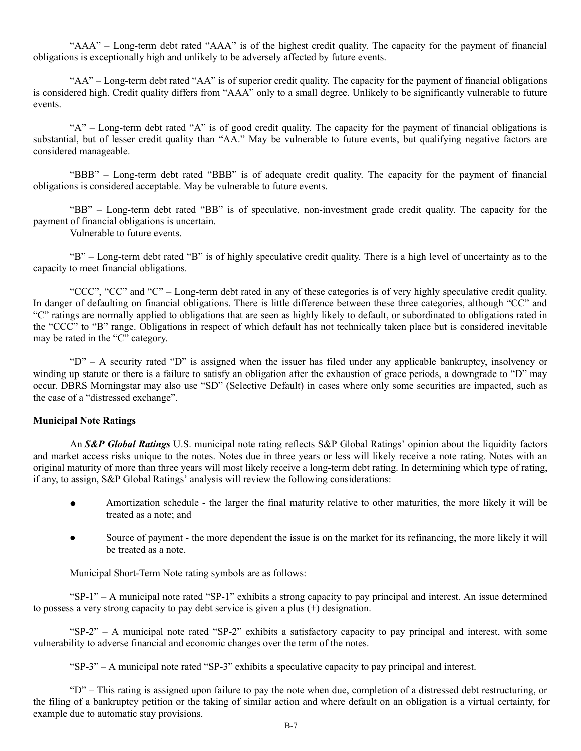"AAA" – Long-term debt rated "AAA" is of the highest credit quality. The capacity for the payment of financial obligations is exceptionally high and unlikely to be adversely affected by future events.

"AA" – Long-term debt rated "AA" is of superior credit quality. The capacity for the payment of financial obligations is considered high. Credit quality differs from "AAA" only to a small degree. Unlikely to be significantly vulnerable to future events.

"A" – Long-term debt rated "A" is of good credit quality. The capacity for the payment of financial obligations is substantial, but of lesser credit quality than "AA." May be vulnerable to future events, but qualifying negative factors are considered manageable.

"BBB" – Long-term debt rated "BBB" is of adequate credit quality. The capacity for the payment of financial obligations is considered acceptable. May be vulnerable to future events.

"BB" – Long-term debt rated "BB" is of speculative, non-investment grade credit quality. The capacity for the payment of financial obligations is uncertain.

Vulnerable to future events.

"B" – Long-term debt rated "B" is of highly speculative credit quality. There is a high level of uncertainty as to the capacity to meet financial obligations.

"CCC", "CC" and "C" – Long-term debt rated in any of these categories is of very highly speculative credit quality. In danger of defaulting on financial obligations. There is little difference between these three categories, although "CC" and "C" ratings are normally applied to obligations that are seen as highly likely to default, or subordinated to obligations rated in the "CCC" to "B" range. Obligations in respect of which default has not technically taken place but is considered inevitable may be rated in the "C" category.

" $D$ " – A security rated " $D$ " is assigned when the issuer has filed under any applicable bankruptcy, insolvency or winding up statute or there is a failure to satisfy an obligation after the exhaustion of grace periods, a downgrade to "D" may occur. DBRS Morningstar may also use "SD" (Selective Default) in cases where only some securities are impacted, such as the case of a "distressed exchange".

## **Municipal Note Ratings**

An *S&P Global Ratings* U.S. municipal note rating reflects S&P Global Ratings' opinion about the liquidity factors and market access risks unique to the notes. Notes due in three years or less will likely receive a note rating. Notes with an original maturity of more than three years will most likely receive a long-term debt rating. In determining which type of rating, if any, to assign, S&P Global Ratings' analysis will review the following considerations:

- Amortization schedule the larger the final maturity relative to other maturities, the more likely it will be treated as a note; and
- Source of payment the more dependent the issue is on the market for its refinancing, the more likely it will be treated as a note.

Municipal Short-Term Note rating symbols are as follows:

"SP-1" – A municipal note rated "SP-1" exhibits a strong capacity to pay principal and interest. An issue determined to possess a very strong capacity to pay debt service is given a plus (+) designation.

"SP-2" – A municipal note rated "SP-2" exhibits a satisfactory capacity to pay principal and interest, with some vulnerability to adverse financial and economic changes over the term of the notes.

"SP-3" – A municipal note rated "SP-3" exhibits a speculative capacity to pay principal and interest.

"D" – This rating is assigned upon failure to pay the note when due, completion of a distressed debt restructuring, or the filing of a bankruptcy petition or the taking of similar action and where default on an obligation is a virtual certainty, for example due to automatic stay provisions.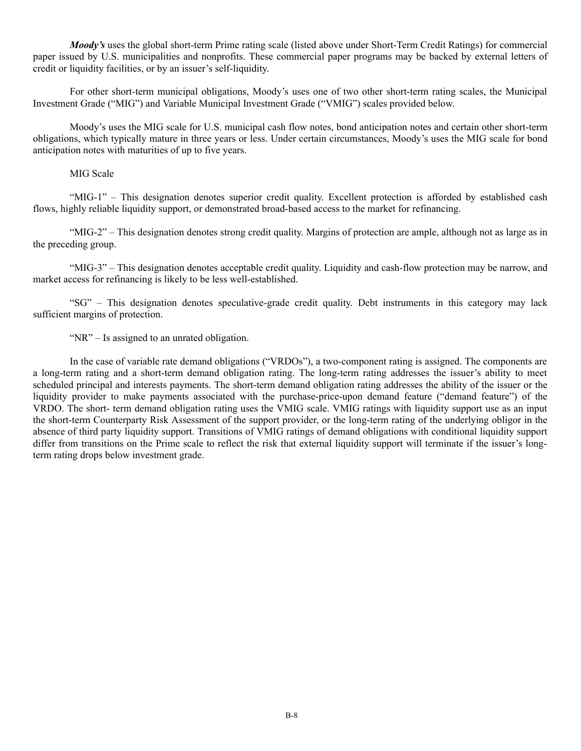*Moody's* uses the global short-term Prime rating scale (listed above under Short-Term Credit Ratings) for commercial paper issued by U.S. municipalities and nonprofits. These commercial paper programs may be backed by external letters of credit or liquidity facilities, or by an issuer's self-liquidity.

For other short-term municipal obligations, Moody's uses one of two other short-term rating scales, the Municipal Investment Grade ("MIG") and Variable Municipal Investment Grade ("VMIG") scales provided below.

Moody's uses the MIG scale for U.S. municipal cash flow notes, bond anticipation notes and certain other short-term obligations, which typically mature in three years or less. Under certain circumstances, Moody's uses the MIG scale for bond anticipation notes with maturities of up to five years.

# MIG Scale

"MIG-1" – This designation denotes superior credit quality. Excellent protection is afforded by established cash flows, highly reliable liquidity support, or demonstrated broad-based access to the market for refinancing.

"MIG-2" – This designation denotes strong credit quality. Margins of protection are ample, although not as large as in the preceding group.

"MIG-3" – This designation denotes acceptable credit quality. Liquidity and cash-flow protection may be narrow, and market access for refinancing is likely to be less well-established.

"SG" – This designation denotes speculative-grade credit quality. Debt instruments in this category may lack sufficient margins of protection.

"NR" – Is assigned to an unrated obligation.

In the case of variable rate demand obligations ("VRDOs"), a two-component rating is assigned. The components are a long-term rating and a short-term demand obligation rating. The long-term rating addresses the issuer's ability to meet scheduled principal and interests payments. The short-term demand obligation rating addresses the ability of the issuer or the liquidity provider to make payments associated with the purchase-price-upon demand feature ("demand feature") of the VRDO. The short- term demand obligation rating uses the VMIG scale. VMIG ratings with liquidity support use as an input the short-term Counterparty Risk Assessment of the support provider, or the long-term rating of the underlying obligor in the absence of third party liquidity support. Transitions of VMIG ratings of demand obligations with conditional liquidity support differ from transitions on the Prime scale to reflect the risk that external liquidity support will terminate if the issuer's longterm rating drops below investment grade.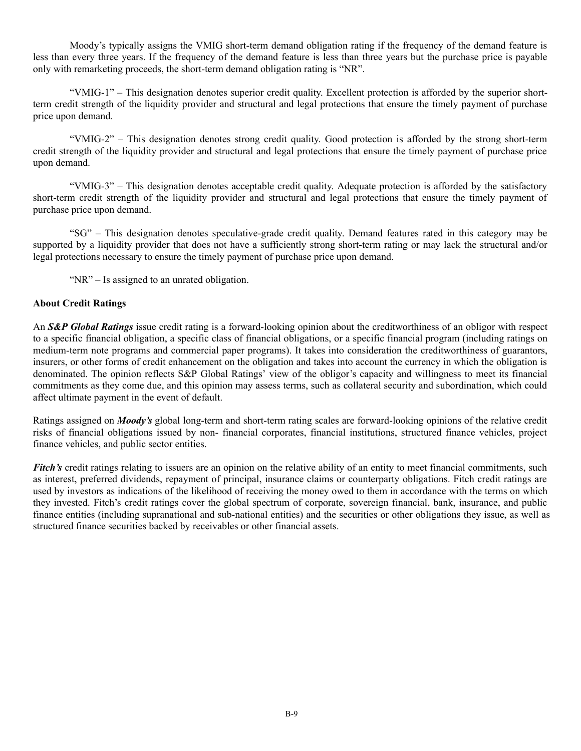Moody's typically assigns the VMIG short-term demand obligation rating if the frequency of the demand feature is less than every three years. If the frequency of the demand feature is less than three years but the purchase price is payable only with remarketing proceeds, the short-term demand obligation rating is "NR".

"VMIG-1" – This designation denotes superior credit quality. Excellent protection is afforded by the superior shortterm credit strength of the liquidity provider and structural and legal protections that ensure the timely payment of purchase price upon demand.

"VMIG-2" – This designation denotes strong credit quality. Good protection is afforded by the strong short-term credit strength of the liquidity provider and structural and legal protections that ensure the timely payment of purchase price upon demand.

"VMIG-3" – This designation denotes acceptable credit quality. Adequate protection is afforded by the satisfactory short-term credit strength of the liquidity provider and structural and legal protections that ensure the timely payment of purchase price upon demand.

"SG" – This designation denotes speculative-grade credit quality. Demand features rated in this category may be supported by a liquidity provider that does not have a sufficiently strong short-term rating or may lack the structural and/or legal protections necessary to ensure the timely payment of purchase price upon demand.

"NR" – Is assigned to an unrated obligation.

# **About Credit Ratings**

An *S&P Global Ratings* issue credit rating is a forward-looking opinion about the creditworthiness of an obligor with respect to a specific financial obligation, a specific class of financial obligations, or a specific financial program (including ratings on medium-term note programs and commercial paper programs). It takes into consideration the creditworthiness of guarantors, insurers, or other forms of credit enhancement on the obligation and takes into account the currency in which the obligation is denominated. The opinion reflects S&P Global Ratings' view of the obligor's capacity and willingness to meet its financial commitments as they come due, and this opinion may assess terms, such as collateral security and subordination, which could affect ultimate payment in the event of default.

Ratings assigned on *Moody's* global long-term and short-term rating scales are forward-looking opinions of the relative credit risks of financial obligations issued by non- financial corporates, financial institutions, structured finance vehicles, project finance vehicles, and public sector entities.

*Fitch's* credit ratings relating to issuers are an opinion on the relative ability of an entity to meet financial commitments, such as interest, preferred dividends, repayment of principal, insurance claims or counterparty obligations. Fitch credit ratings are used by investors as indications of the likelihood of receiving the money owed to them in accordance with the terms on which they invested. Fitch's credit ratings cover the global spectrum of corporate, sovereign financial, bank, insurance, and public finance entities (including supranational and sub-national entities) and the securities or other obligations they issue, as well as structured finance securities backed by receivables or other financial assets.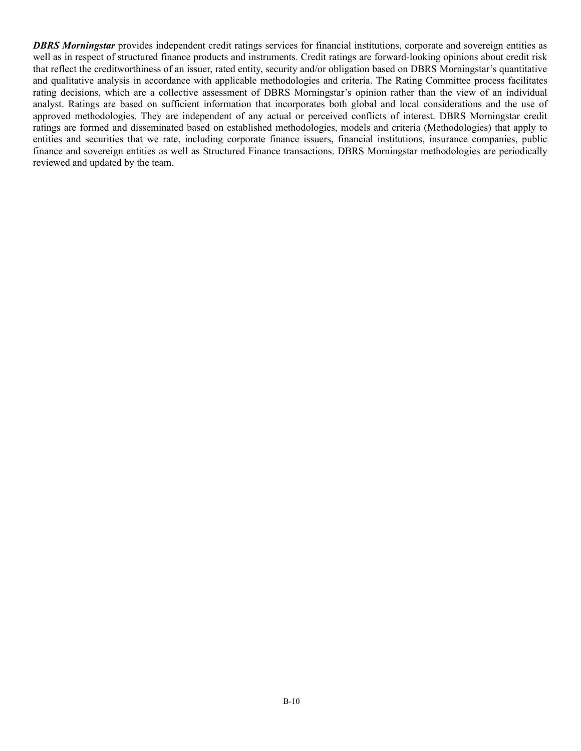*DBRS Morningstar* provides independent credit ratings services for financial institutions, corporate and sovereign entities as well as in respect of structured finance products and instruments. Credit ratings are forward-looking opinions about credit risk that reflect the creditworthiness of an issuer, rated entity, security and/or obligation based on DBRS Morningstar's quantitative and qualitative analysis in accordance with applicable methodologies and criteria. The Rating Committee process facilitates rating decisions, which are a collective assessment of DBRS Morningstar's opinion rather than the view of an individual analyst. Ratings are based on sufficient information that incorporates both global and local considerations and the use of approved methodologies. They are independent of any actual or perceived conflicts of interest. DBRS Morningstar credit ratings are formed and disseminated based on established methodologies, models and criteria (Methodologies) that apply to entities and securities that we rate, including corporate finance issuers, financial institutions, insurance companies, public finance and sovereign entities as well as Structured Finance transactions. DBRS Morningstar methodologies are periodically reviewed and updated by the team.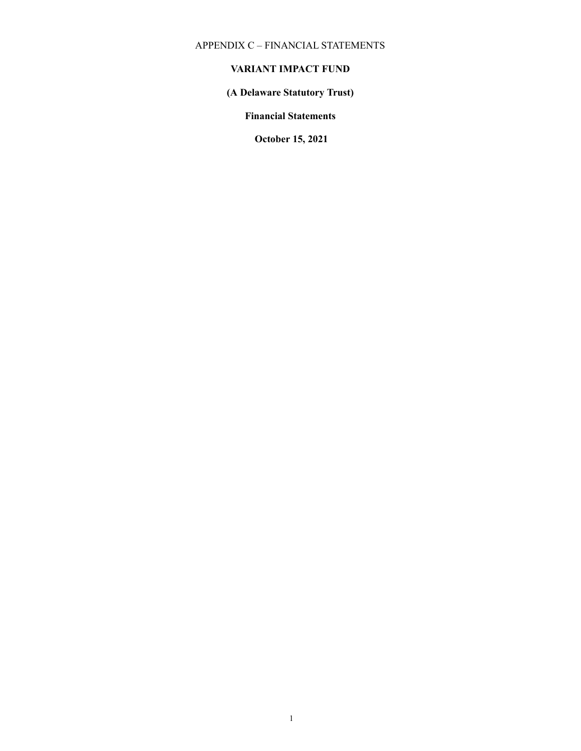# APPENDIX C – FINANCIAL STATEMENTS

# **VARIANT IMPACT FUND**

**(A Delaware Statutory Trust)**

**Financial Statements**

**October 15, 2021**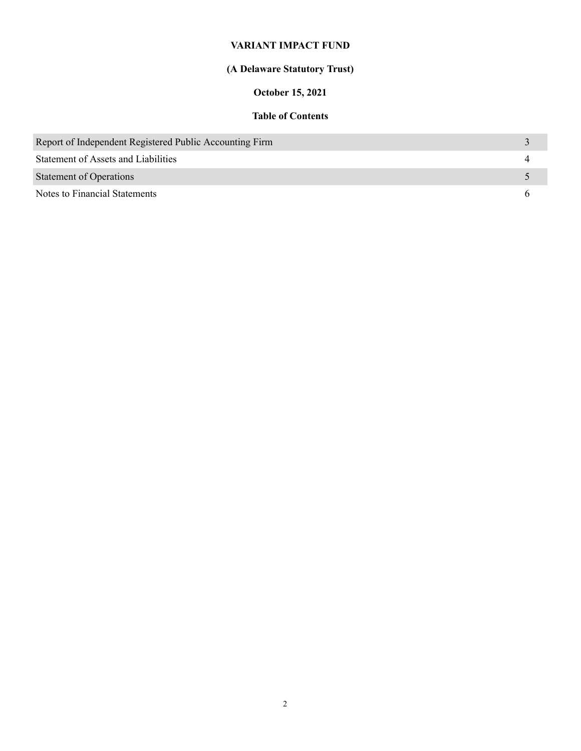# **(A Delaware Statutory Trust)**

# **October 15, 2021**

# **Table of Contents**

| Report of Independent Registered Public Accounting Firm |  |
|---------------------------------------------------------|--|
| Statement of Assets and Liabilities                     |  |
| <b>Statement of Operations</b>                          |  |
| Notes to Financial Statements                           |  |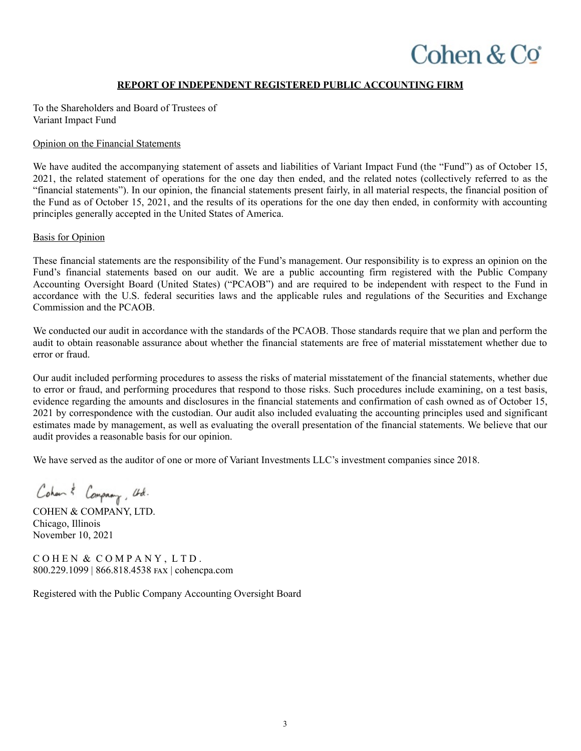# Cohen & Co<sup>o</sup>

# **REPORT OF INDEPENDENT REGISTERED PUBLIC ACCOUNTING FIRM**

To the Shareholders and Board of Trustees of Variant Impact Fund

#### Opinion on the Financial Statements

We have audited the accompanying statement of assets and liabilities of Variant Impact Fund (the "Fund") as of October 15, 2021, the related statement of operations for the one day then ended, and the related notes (collectively referred to as the "financial statements"). In our opinion, the financial statements present fairly, in all material respects, the financial position of the Fund as of October 15, 2021, and the results of its operations for the one day then ended, in conformity with accounting principles generally accepted in the United States of America.

#### Basis for Opinion

These financial statements are the responsibility of the Fund's management. Our responsibility is to express an opinion on the Fund's financial statements based on our audit. We are a public accounting firm registered with the Public Company Accounting Oversight Board (United States) ("PCAOB") and are required to be independent with respect to the Fund in accordance with the U.S. federal securities laws and the applicable rules and regulations of the Securities and Exchange Commission and the PCAOB.

We conducted our audit in accordance with the standards of the PCAOB. Those standards require that we plan and perform the audit to obtain reasonable assurance about whether the financial statements are free of material misstatement whether due to error or fraud.

Our audit included performing procedures to assess the risks of material misstatement of the financial statements, whether due to error or fraud, and performing procedures that respond to those risks. Such procedures include examining, on a test basis, evidence regarding the amounts and disclosures in the financial statements and confirmation of cash owned as of October 15, 2021 by correspondence with the custodian. Our audit also included evaluating the accounting principles used and significant estimates made by management, as well as evaluating the overall presentation of the financial statements. We believe that our audit provides a reasonable basis for our opinion.

We have served as the auditor of one or more of Variant Investments LLC's investment companies since 2018.

Cohen & Company, Od.

COHEN & COMPANY, LTD. Chicago, Illinois November 10, 2021

COHEN & COMPANY, LTD. 800.229.1099 | 866.818.4538 fax | cohencpa.com

Registered with the Public Company Accounting Oversight Board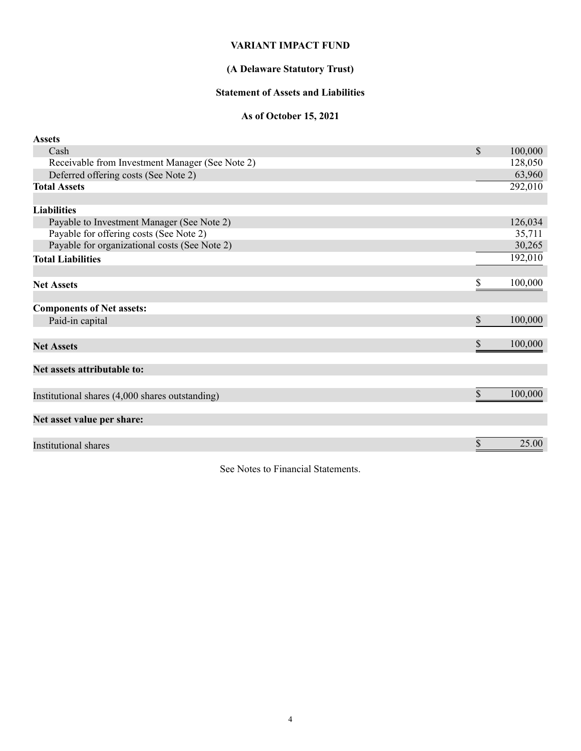# **(A Delaware Statutory Trust)**

# **Statement of Assets and Liabilities**

# **As of October 15, 2021**

| <b>Assets</b>                                   |               |         |
|-------------------------------------------------|---------------|---------|
| Cash                                            | $\mathcal{S}$ | 100,000 |
| Receivable from Investment Manager (See Note 2) |               | 128,050 |
| Deferred offering costs (See Note 2)            |               | 63,960  |
| <b>Total Assets</b>                             |               | 292,010 |
|                                                 |               |         |
| <b>Liabilities</b>                              |               |         |
| Payable to Investment Manager (See Note 2)      |               | 126,034 |
| Payable for offering costs (See Note 2)         |               | 35,711  |
| Payable for organizational costs (See Note 2)   |               | 30,265  |
| <b>Total Liabilities</b>                        |               | 192,010 |
|                                                 |               |         |
| <b>Net Assets</b>                               | \$            | 100,000 |
|                                                 |               |         |
| <b>Components of Net assets:</b>                |               |         |
| Paid-in capital                                 | $\mathcal{S}$ | 100,000 |
|                                                 |               |         |
| <b>Net Assets</b>                               | $\mathbb{S}$  | 100,000 |
|                                                 |               |         |
| Net assets attributable to:                     |               |         |
|                                                 |               |         |
| Institutional shares (4,000 shares outstanding) | $\mathcal{S}$ | 100,000 |
|                                                 |               |         |
| Net asset value per share:                      |               |         |
|                                                 |               |         |
| <b>Institutional shares</b>                     | \$            | 25.00   |
|                                                 |               |         |

See Notes to Financial Statements.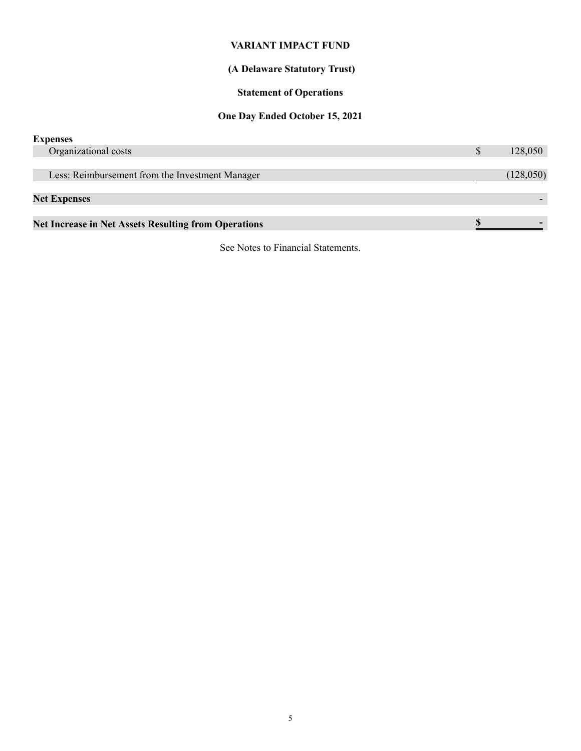# **(A Delaware Statutory Trust)**

# **Statement of Operations**

# **One Day Ended October 15, 2021**

| <b>Expenses</b>                                             |          |            |
|-------------------------------------------------------------|----------|------------|
| Organizational costs                                        | <b>J</b> | 128,050    |
|                                                             |          |            |
| Less: Reimbursement from the Investment Manager             |          | (128, 050) |
|                                                             |          |            |
| <b>Net Expenses</b>                                         |          |            |
|                                                             |          |            |
| <b>Net Increase in Net Assets Resulting from Operations</b> |          |            |

See Notes to Financial Statements.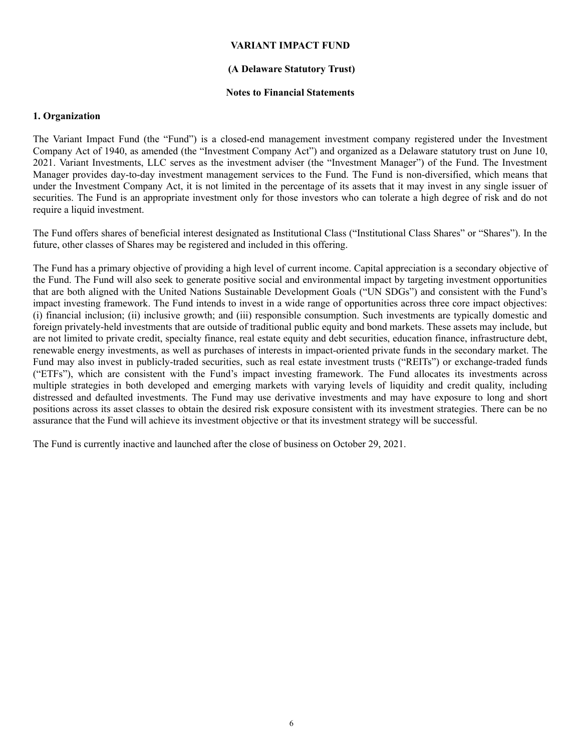#### **(A Delaware Statutory Trust)**

#### **Notes to Financial Statements**

# **1. Organization**

The Variant Impact Fund (the "Fund") is a closed-end management investment company registered under the Investment Company Act of 1940, as amended (the "Investment Company Act") and organized as a Delaware statutory trust on June 10, 2021. Variant Investments, LLC serves as the investment adviser (the "Investment Manager") of the Fund. The Investment Manager provides day-to-day investment management services to the Fund. The Fund is non-diversified, which means that under the Investment Company Act, it is not limited in the percentage of its assets that it may invest in any single issuer of securities. The Fund is an appropriate investment only for those investors who can tolerate a high degree of risk and do not require a liquid investment.

The Fund offers shares of beneficial interest designated as Institutional Class ("Institutional Class Shares" or "Shares"). In the future, other classes of Shares may be registered and included in this offering.

The Fund has a primary objective of providing a high level of current income. Capital appreciation is a secondary objective of the Fund. The Fund will also seek to generate positive social and environmental impact by targeting investment opportunities that are both aligned with the United Nations Sustainable Development Goals ("UN SDGs") and consistent with the Fund's impact investing framework. The Fund intends to invest in a wide range of opportunities across three core impact objectives: (i) financial inclusion; (ii) inclusive growth; and (iii) responsible consumption. Such investments are typically domestic and foreign privately-held investments that are outside of traditional public equity and bond markets. These assets may include, but are not limited to private credit, specialty finance, real estate equity and debt securities, education finance, infrastructure debt, renewable energy investments, as well as purchases of interests in impact-oriented private funds in the secondary market. The Fund may also invest in publicly-traded securities, such as real estate investment trusts ("REITs") or exchange-traded funds ("ETFs"), which are consistent with the Fund's impact investing framework. The Fund allocates its investments across multiple strategies in both developed and emerging markets with varying levels of liquidity and credit quality, including distressed and defaulted investments. The Fund may use derivative investments and may have exposure to long and short positions across its asset classes to obtain the desired risk exposure consistent with its investment strategies. There can be no assurance that the Fund will achieve its investment objective or that its investment strategy will be successful.

The Fund is currently inactive and launched after the close of business on October 29, 2021.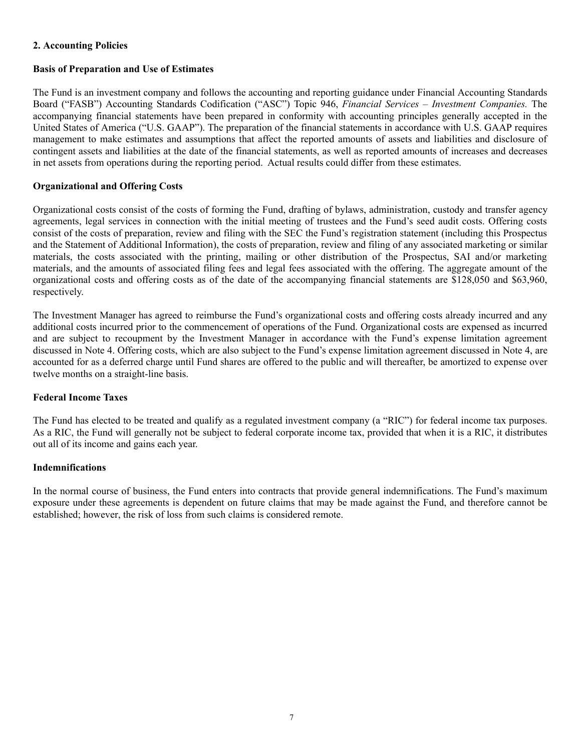# **2. Accounting Policies**

# **Basis of Preparation and Use of Estimates**

The Fund is an investment company and follows the accounting and reporting guidance under Financial Accounting Standards Board ("FASB") Accounting Standards Codification ("ASC") Topic 946, *Financial Services* – *Investment Companies.* The accompanying financial statements have been prepared in conformity with accounting principles generally accepted in the United States of America ("U.S. GAAP"). The preparation of the financial statements in accordance with U.S. GAAP requires management to make estimates and assumptions that affect the reported amounts of assets and liabilities and disclosure of contingent assets and liabilities at the date of the financial statements, as well as reported amounts of increases and decreases in net assets from operations during the reporting period. Actual results could differ from these estimates.

# **Organizational and Offering Costs**

Organizational costs consist of the costs of forming the Fund, drafting of bylaws, administration, custody and transfer agency agreements, legal services in connection with the initial meeting of trustees and the Fund's seed audit costs. Offering costs consist of the costs of preparation, review and filing with the SEC the Fund's registration statement (including this Prospectus and the Statement of Additional Information), the costs of preparation, review and filing of any associated marketing or similar materials, the costs associated with the printing, mailing or other distribution of the Prospectus, SAI and/or marketing materials, and the amounts of associated filing fees and legal fees associated with the offering. The aggregate amount of the organizational costs and offering costs as of the date of the accompanying financial statements are \$128,050 and \$63,960, respectively.

The Investment Manager has agreed to reimburse the Fund's organizational costs and offering costs already incurred and any additional costs incurred prior to the commencement of operations of the Fund. Organizational costs are expensed as incurred and are subject to recoupment by the Investment Manager in accordance with the Fund's expense limitation agreement discussed in Note 4. Offering costs, which are also subject to the Fund's expense limitation agreement discussed in Note 4, are accounted for as a deferred charge until Fund shares are offered to the public and will thereafter, be amortized to expense over twelve months on a straight-line basis.

## **Federal Income Taxes**

The Fund has elected to be treated and qualify as a regulated investment company (a "RIC") for federal income tax purposes. As a RIC, the Fund will generally not be subject to federal corporate income tax, provided that when it is a RIC, it distributes out all of its income and gains each year.

# **Indemnifications**

In the normal course of business, the Fund enters into contracts that provide general indemnifications. The Fund's maximum exposure under these agreements is dependent on future claims that may be made against the Fund, and therefore cannot be established; however, the risk of loss from such claims is considered remote.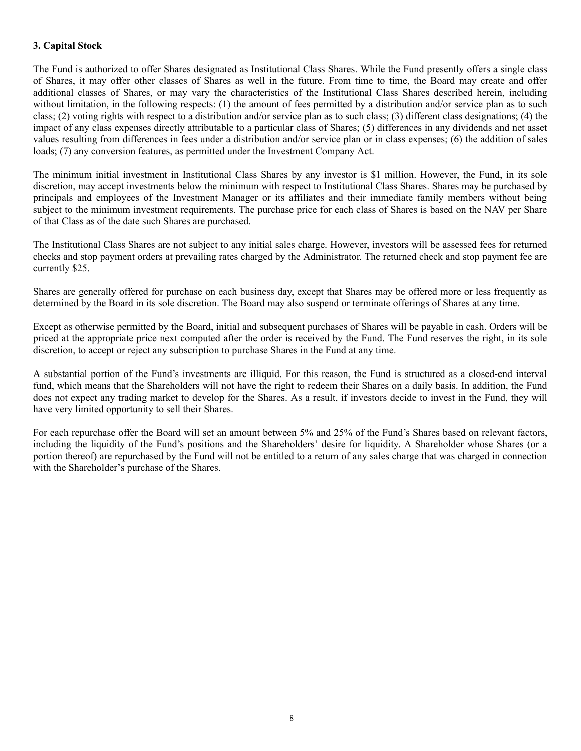# **3. Capital Stock**

The Fund is authorized to offer Shares designated as Institutional Class Shares. While the Fund presently offers a single class of Shares, it may offer other classes of Shares as well in the future. From time to time, the Board may create and offer additional classes of Shares, or may vary the characteristics of the Institutional Class Shares described herein, including without limitation, in the following respects: (1) the amount of fees permitted by a distribution and/or service plan as to such class; (2) voting rights with respect to a distribution and/or service plan as to such class; (3) different class designations; (4) the impact of any class expenses directly attributable to a particular class of Shares; (5) differences in any dividends and net asset values resulting from differences in fees under a distribution and/or service plan or in class expenses; (6) the addition of sales loads; (7) any conversion features, as permitted under the Investment Company Act.

The minimum initial investment in Institutional Class Shares by any investor is \$1 million. However, the Fund, in its sole discretion, may accept investments below the minimum with respect to Institutional Class Shares. Shares may be purchased by principals and employees of the Investment Manager or its affiliates and their immediate family members without being subject to the minimum investment requirements. The purchase price for each class of Shares is based on the NAV per Share of that Class as of the date such Shares are purchased.

The Institutional Class Shares are not subject to any initial sales charge. However, investors will be assessed fees for returned checks and stop payment orders at prevailing rates charged by the Administrator. The returned check and stop payment fee are currently \$25.

Shares are generally offered for purchase on each business day, except that Shares may be offered more or less frequently as determined by the Board in its sole discretion. The Board may also suspend or terminate offerings of Shares at any time.

Except as otherwise permitted by the Board, initial and subsequent purchases of Shares will be payable in cash. Orders will be priced at the appropriate price next computed after the order is received by the Fund. The Fund reserves the right, in its sole discretion, to accept or reject any subscription to purchase Shares in the Fund at any time.

A substantial portion of the Fund's investments are illiquid. For this reason, the Fund is structured as a closed-end interval fund, which means that the Shareholders will not have the right to redeem their Shares on a daily basis. In addition, the Fund does not expect any trading market to develop for the Shares. As a result, if investors decide to invest in the Fund, they will have very limited opportunity to sell their Shares.

For each repurchase offer the Board will set an amount between 5% and 25% of the Fund's Shares based on relevant factors, including the liquidity of the Fund's positions and the Shareholders' desire for liquidity. A Shareholder whose Shares (or a portion thereof) are repurchased by the Fund will not be entitled to a return of any sales charge that was charged in connection with the Shareholder's purchase of the Shares.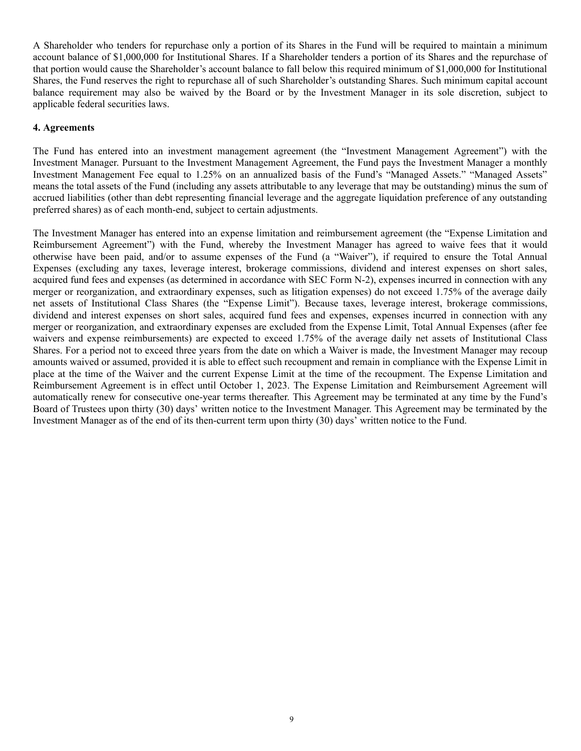A Shareholder who tenders for repurchase only a portion of its Shares in the Fund will be required to maintain a minimum account balance of \$1,000,000 for Institutional Shares. If a Shareholder tenders a portion of its Shares and the repurchase of that portion would cause the Shareholder's account balance to fall below this required minimum of \$1,000,000 for Institutional Shares, the Fund reserves the right to repurchase all of such Shareholder's outstanding Shares. Such minimum capital account balance requirement may also be waived by the Board or by the Investment Manager in its sole discretion, subject to applicable federal securities laws.

# **4. Agreements**

The Fund has entered into an investment management agreement (the "Investment Management Agreement") with the Investment Manager. Pursuant to the Investment Management Agreement, the Fund pays the Investment Manager a monthly Investment Management Fee equal to 1.25% on an annualized basis of the Fund's "Managed Assets." "Managed Assets" means the total assets of the Fund (including any assets attributable to any leverage that may be outstanding) minus the sum of accrued liabilities (other than debt representing financial leverage and the aggregate liquidation preference of any outstanding preferred shares) as of each month-end, subject to certain adjustments.

The Investment Manager has entered into an expense limitation and reimbursement agreement (the "Expense Limitation and Reimbursement Agreement") with the Fund, whereby the Investment Manager has agreed to waive fees that it would otherwise have been paid, and/or to assume expenses of the Fund (a "Waiver"), if required to ensure the Total Annual Expenses (excluding any taxes, leverage interest, brokerage commissions, dividend and interest expenses on short sales, acquired fund fees and expenses (as determined in accordance with SEC Form N-2), expenses incurred in connection with any merger or reorganization, and extraordinary expenses, such as litigation expenses) do not exceed 1.75% of the average daily net assets of Institutional Class Shares (the "Expense Limit"). Because taxes, leverage interest, brokerage commissions, dividend and interest expenses on short sales, acquired fund fees and expenses, expenses incurred in connection with any merger or reorganization, and extraordinary expenses are excluded from the Expense Limit, Total Annual Expenses (after fee waivers and expense reimbursements) are expected to exceed 1.75% of the average daily net assets of Institutional Class Shares. For a period not to exceed three years from the date on which a Waiver is made, the Investment Manager may recoup amounts waived or assumed, provided it is able to effect such recoupment and remain in compliance with the Expense Limit in place at the time of the Waiver and the current Expense Limit at the time of the recoupment. The Expense Limitation and Reimbursement Agreement is in effect until October 1, 2023. The Expense Limitation and Reimbursement Agreement will automatically renew for consecutive one-year terms thereafter. This Agreement may be terminated at any time by the Fund's Board of Trustees upon thirty (30) days' written notice to the Investment Manager. This Agreement may be terminated by the Investment Manager as of the end of its then-current term upon thirty (30) days' written notice to the Fund.